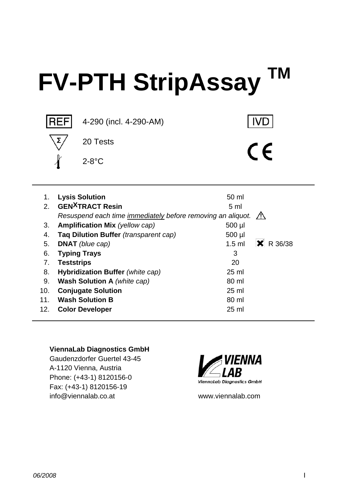# **FV-PTH StripAssay TM**



**IVD** 

 $C \in$ 

 1. **Lysis Solution** 50 ml 2. **GEN<sup>X</sup>TRACT Resin** 5 ml  *Resuspend each time immediately before removing an aliquot.*  3. **Amplification Mix** (yellow cap) 500 µ 4. **Taq Dilution Buffer** *(transparent cap)* 500 µl 5. **DNAT** (blue cap) **1.5 ml X** R 36/38 6. **Typing Trays** 3 7. **Teststrips** 20 8. **Hybridization Buffer** *(white cap)* 25 ml 9. **Wash Solution A** *(white cap)* 80 ml 10. **Conjugate Solution** 25 ml 11. Wash Solution B 80 ml 12. **Color Developer** 25 ml

#### **ViennaLab Diagnostics GmbH**

Gaudenzdorfer Guertel 43-45 A-1120 Vienna, Austria Phone: (+43-1) 8120156-0 Fax: (+43-1) 8120156-19 info@viennalab.co.at www.viennalab.com

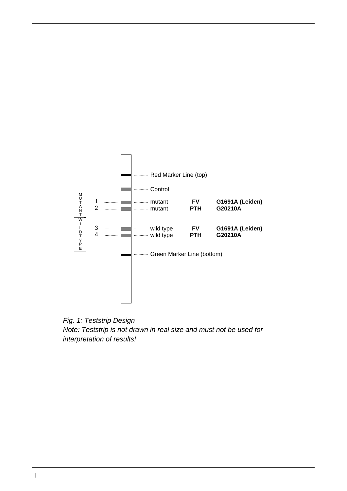

*Note: Teststrip is not drawn in real size and must not be used for interpretation of results! Fig. 1: Teststrip Design*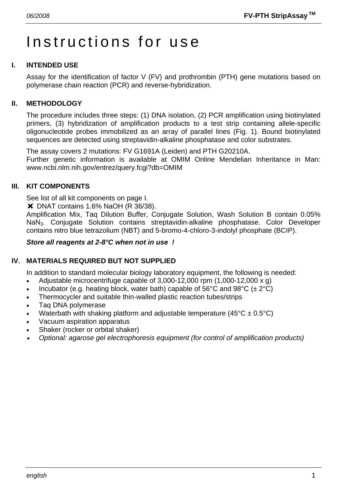# Instructions for use

# **I. INTENDED USE**

Assay for the identification of factor V (FV) and prothrombin (PTH) gene mutations based on polymerase chain reaction (PCR) and reverse-hybridization.

#### **II. METHODOLOGY**

The procedure includes three steps: (1) DNA isolation, (2) PCR amplification using biotinylated primers, (3) hybridization of amplification products to a test strip containing allele-specific oligonucleotide probes immobilized as an array of parallel lines (Fig. 1). Bound biotinylated sequences are detected using streptavidin-alkaline phosphatase and color substrates.

The assay covers 2 mutations: FV G1691A (Leiden) and PTH G20210A. Further genetic information is available at OMIM Online Mendelian Inheritance in Man: www.ncbi.nlm.nih.gov/entrez/query.fcgi?db=OMIM

#### **III. KIT COMPONENTS**

See list of all kit components on page I.

**\*** DNAT contains 1.6% NaOH (R 36/38).

Amplification Mix, Taq Dilution Buffer, Conjugate Solution, Wash Solution B contain 0.05% NaN3. Conjugate Solution contains streptavidin-alkaline phosphatase. Color Developer contains nitro blue tetrazolium (NBT) and 5-bromo-4-chloro-3-indolyl phosphate (BCIP).

#### *Store all reagents at 2-8°C when not in use !*

# **IV. MATERIALS REQUIRED BUT NOT SUPPLIED**

In addition to standard molecular biology laboratory equipment, the following is needed:

- Adjustable microcentrifuge capable of  $3,000-12,000$  rpm  $(1,000-12,000 \times g)$
- Incubator (e.g. heating block, water bath) capable of 56°C and 98°C ( $\pm 2$ °C)
- Thermocycler and suitable thin-walled plastic reaction tubes/strips
- Taq DNA polymerase
- Waterbath with shaking platform and adjustable temperature  $(45^{\circ}C \pm 0.5^{\circ}C)$
- Vacuum aspiration apparatus
- Shaker (rocker or orbital shaker)
- • *Optional: agarose gel electrophoresis equipment (for control of amplification products)*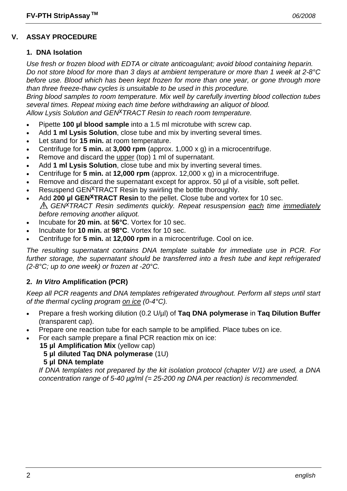# **V. ASSAY PROCEDURE**

### **1. DNA Isolation**

*Use fresh or frozen blood with EDTA or citrate anticoagulant; avoid blood containing heparin. Do not store blood for more than 3 days at ambient temperature or more than 1 week at 2-8°C before use. Blood which has been kept frozen for more than one year, or gone through more than three freeze-thaw cycles is unsuitable to be used in this procedure.* 

*Bring blood samples to room temperature. Mix well by carefully inverting blood collection tubes several times. Repeat mixing each time before withdrawing an aliquot of blood. Allow Lysis Solution and GENxTRACT Resin to reach room temperature.*

- Pipette **100 µl blood sample** into a 1.5 ml microtube with screw cap.
- Add **1 ml Lysis Solution**, close tube and mix by inverting several times.
- Let stand for **15 min.** at room temperature.
- Centrifuge for **5 min.** at **3,000 rpm** (approx. 1,000 x g) in a microcentrifuge.
- Remove and discard the upper (top) 1 ml of supernatant.
- Add **1 ml Lysis Solution**, close tube and mix by inverting several times.
- Centrifuge for **5 min.** at **12,000 rpm** (approx. 12,000 x g) in a microcentrifuge.
- Remove and discard the supernatant except for approx. 50 µl of a visible, soft pellet.
- Resuspend GEN<sup>X</sup>TRACT Resin by swirling the bottle thoroughly.
- Add **200 µl GEN<sup>X</sup>TRACT Resin** to the pellet. Close tube and vortex for 10 sec. *GENxTRACT Resin sediments quickly. Repeat resuspension each time immediately before removing another aliquot.*
- Incubate for **20 min.** at **56°C**. Vortex for 10 sec.
- Incubate for **10 min.** at **98°C**. Vortex for 10 sec.
- Centrifuge for **5 min.** at **12,000 rpm** in a microcentrifuge. Cool on ice.

*The resulting supernatant contains DNA template suitable for immediate use in PCR. For further storage, the supernatant should be transferred into a fresh tube and kept refrigerated (2-8°C; up to one week) or frozen at -20°C.* 

# **2.** *In Vitro* **Amplification (PCR)**

*Keep all PCR reagents and DNA templates refrigerated throughout. Perform all steps until start of the thermal cycling program on ice (0-4°C).* 

- Prepare a fresh working dilution (0.2 U/µl) of **Taq DNA polymerase** in **Taq Dilution Buffer** (transparent cap).
- Prepare one reaction tube for each sample to be amplified. Place tubes on ice.
- For each sample prepare a final PCR reaction mix on ice:
	- **15 µl Amplification Mix** (yellow cap)
		- **5 µl diluted Taq DNA polymerase** (1U)
		- **5 µl DNA template**

 *If DNA templates not prepared by the kit isolation protocol (chapter V/1) are used, a DNA concentration range of 5-40 µg/ml (= 25-200 ng DNA per reaction) is recommended.*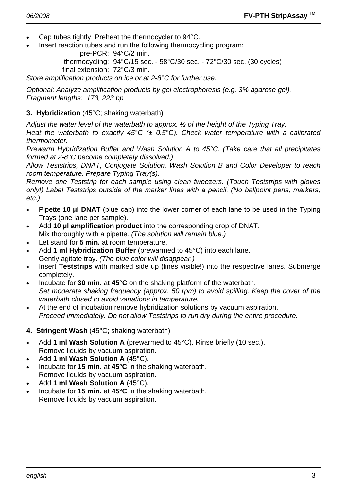- Cap tubes tightly. Preheat the thermocycler to 94°C.
- Insert reaction tubes and run the following thermocycling program:

pre-PCR: 94°C/2 min.

 thermocycling: 94°C/15 sec. - 58°C/30 sec. - 72°C/30 sec. (30 cycles) final extension: 72°C/3 min.

*Store amplification products on ice or at 2-8°C for further use.* 

*Optional: Analyze amplification products by gel electrophoresis (e.g. 3% agarose gel). Fragment lengths: 173, 223 bp* 

#### **3. Hybridization** (45°C; shaking waterbath)

*Adjust the water level of the waterbath to approx. ½ of the height of the Typing Tray.* 

*Heat the waterbath to exactly 45°C (± 0.5°C). Check water temperature with a calibrated thermometer.* 

*Prewarm Hybridization Buffer and Wash Solution A to 45°C. (Take care that all precipitates formed at 2-8°C become completely dissolved.)* 

*Allow Teststrips, DNAT, Conjugate Solution, Wash Solution B and Color Developer to reach room temperature. Prepare Typing Tray(s).* 

*Remove one Teststrip for each sample using clean tweezers. (Touch Teststrips with gloves only!) Label Teststrips outside of the marker lines with a pencil. (No ballpoint pens, markers, etc.)* 

- Pipette **10 µl DNAT** (blue cap) into the lower corner of each lane to be used in the Typing Trays (one lane per sample).
- Add **10 µl amplification product** into the corresponding drop of DNAT. Mix thoroughly with a pipette. *(The solution will remain blue.)*
- Let stand for **5 min.** at room temperature.
- Add **1 ml Hybridization Buffer** (prewarmed to 45°C) into each lane. Gently agitate tray. *(The blue color will disappear.)*
- Insert **Teststrips** with marked side up (lines visible!) into the respective lanes. Submerge completely.
- Incubate for **30 min.** at **45°C** on the shaking platform of the waterbath.  *Set moderate shaking frequency (approx. 50 rpm) to avoid spilling. Keep the cover of the waterbath closed to avoid variations in temperature.*
- At the end of incubation remove hybridization solutions by vacuum aspiration.  *Proceed immediately. Do not allow Teststrips to run dry during the entire procedure.*
- **4. Stringent Wash** (45°C; shaking waterbath)
- Add **1 ml Wash Solution A** (prewarmed to 45°C). Rinse briefly (10 sec.). Remove liquids by vacuum aspiration.
- Add **1 ml Wash Solution A** (45°C).
- Incubate for **15 min.** at **45°C** in the shaking waterbath. Remove liquids by vacuum aspiration.
- Add **1 ml Wash Solution A** (45°C).
- Incubate for **15 min.** at **45°C** in the shaking waterbath. Remove liquids by vacuum aspiration.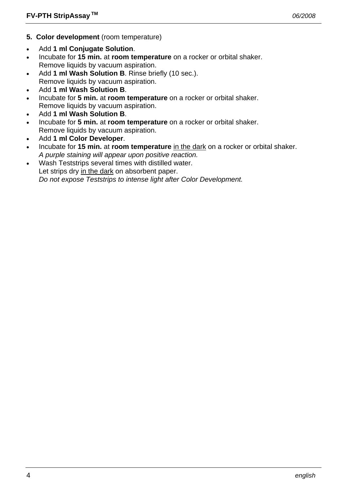- **5. Color development** (room temperature)
- Add **1 ml Conjugate Solution**.
- Incubate for **15 min.** at **room temperature** on a rocker or orbital shaker. Remove liquids by vacuum aspiration.
- Add **1 ml Wash Solution B**. Rinse briefly (10 sec.). Remove liquids by vacuum aspiration.
- Add **1 ml Wash Solution B**.
- Incubate for **5 min.** at **room temperature** on a rocker or orbital shaker. Remove liquids by vacuum aspiration.
- Add **1 ml Wash Solution B**.
- Incubate for **5 min.** at **room temperature** on a rocker or orbital shaker. Remove liquids by vacuum aspiration.
- Add **1 ml Color Developer**.
- Incubate for **15 min.** at **room temperature** in the dark on a rocker or orbital shaker.  *A purple staining will appear upon positive reaction.*
- Wash Teststrips several times with distilled water. Let strips dry in the dark on absorbent paper.  *Do not expose Teststrips to intense light after Color Development.*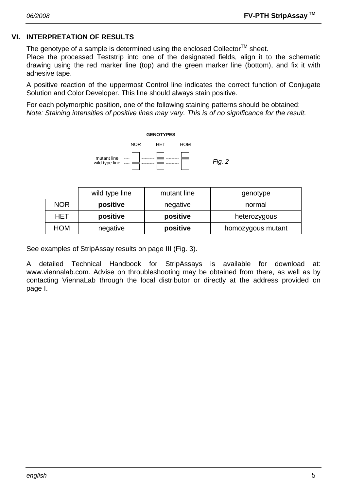# **VI. INTERPRETATION OF RESULTS**

The genotype of a sample is determined using the enclosed Collector<sup>TM</sup> sheet.

Place the processed Teststrip into one of the designated fields, align it to the schematic drawing using the red marker line (top) and the green marker line (bottom), and fix it with adhesive tape.

A positive reaction of the uppermost Control line indicates the correct function of Conjugate Solution and Color Developer. This line should always stain positive.

For each polymorphic position, one of the following staining patterns should be obtained: *Note: Staining intensities of positive lines may vary. This is of no significance for the result.* 



|            | wild type line | mutant line | genotype          |  |
|------------|----------------|-------------|-------------------|--|
| <b>NOR</b> | positive       | negative    | normal            |  |
| HET        | positive       | positive    | heterozygous      |  |
| HOM        | negative       | positive    | homozygous mutant |  |

See examples of StripAssay results on page III (Fig. 3).

A detailed Technical Handbook for StripAssays is available for download at: www.viennalab.com. Advise on throubleshooting may be obtained from there, as well as by contacting ViennaLab through the local distributor or directly at the address provided on page I.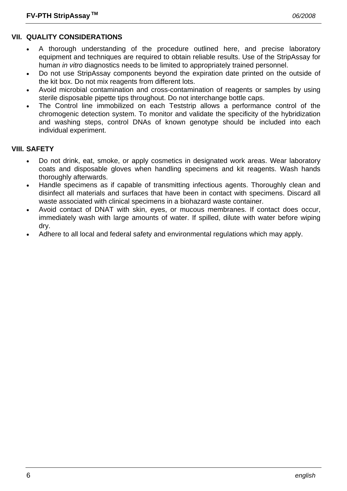# **VII. QUALITY CONSIDERATIONS**

- A thorough understanding of the procedure outlined here, and precise laboratory equipment and techniques are required to obtain reliable results. Use of the StripAssay for human *in vitro* diagnostics needs to be limited to appropriately trained personnel.
- Do not use StripAssay components beyond the expiration date printed on the outside of the kit box. Do not mix reagents from different lots.
- Avoid microbial contamination and cross-contamination of reagents or samples by using sterile disposable pipette tips throughout. Do not interchange bottle caps.
- The Control line immobilized on each Teststrip allows a performance control of the chromogenic detection system. To monitor and validate the specificity of the hybridization and washing steps, control DNAs of known genotype should be included into each individual experiment.

# **VIII. SAFETY**

- Do not drink, eat, smoke, or apply cosmetics in designated work areas. Wear laboratory coats and disposable gloves when handling specimens and kit reagents. Wash hands thoroughly afterwards.
- Handle specimens as if capable of transmitting infectious agents. Thoroughly clean and disinfect all materials and surfaces that have been in contact with specimens. Discard all waste associated with clinical specimens in a biohazard waste container.
- Avoid contact of DNAT with skin, eyes, or mucous membranes. If contact does occur, immediately wash with large amounts of water. If spilled, dilute with water before wiping dry.
- Adhere to all local and federal safety and environmental regulations which may apply.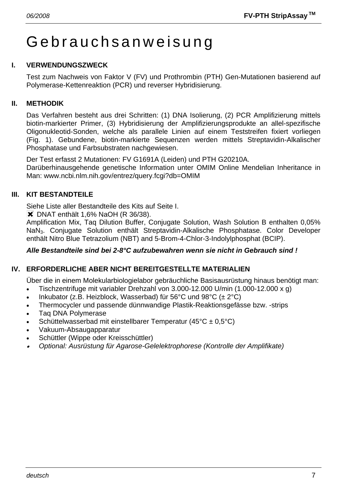# Gebrauchsanweisung

# **I. VERWENDUNGSZWECK**

Test zum Nachweis von Faktor V (FV) und Prothrombin (PTH) Gen-Mutationen basierend auf Polymerase-Kettenreaktion (PCR) und reverser Hybridisierung.

## **II. METHODIK**

Das Verfahren besteht aus drei Schritten: (1) DNA Isolierung, (2) PCR Amplifizierung mittels biotin-markierter Primer, (3) Hybridisierung der Amplifizierungsprodukte an allel-spezifische Oligonukleotid-Sonden, welche als parallele Linien auf einem Teststreifen fixiert vorliegen (Fig. 1). Gebundene, biotin-markierte Sequenzen werden mittels Streptavidin-Alkalischer Phosphatase und Farbsubstraten nachgewiesen.

Der Test erfasst 2 Mutationen: FV G1691A (Leiden) und PTH G20210A. Darüberhinausgehende genetische Information unter OMIM Online Mendelian Inheritance in Man: www.ncbi.nlm.nih.gov/entrez/query.fcgi?db=OMIM

# **III. KIT BESTANDTEILE**

Siehe Liste aller Bestandteile des Kits auf Seite I.

**X** DNAT enthält 1,6% NaOH (R 36/38).

Amplification Mix, Taq Dilution Buffer, Conjugate Solution, Wash Solution B enthalten 0,05% NaN3. Conjugate Solution enthält Streptavidin-Alkalische Phosphatase. Color Developer enthält Nitro Blue Tetrazolium (NBT) and 5-Brom-4-Chlor-3-Indolylphosphat (BCIP).

#### *Alle Bestandteile sind bei 2-8°C aufzubewahren wenn sie nicht in Gebrauch sind !*

# **IV. ERFORDERLICHE ABER NICHT BEREITGESTELLTE MATERIALIEN**

Über die in einem Molekularbiologielabor gebräuchliche Basisausrüstung hinaus benötigt man:

- Tischzentrifuge mit variabler Drehzahl von 3.000-12.000 U/min (1.000-12.000 x g)
- Inkubator (z.B. Heizblock, Wasserbad) für 56°C und 98°C ( $\pm 2$ °C)
- Thermocycler und passende dünnwandige Plastik-Reaktionsgefässe bzw. -strips
- Taq DNA Polymerase
- Schüttelwasserbad mit einstellbarer Temperatur (45°C ± 0,5°C)
- Vakuum-Absaugapparatur
- Schüttler (Wippe oder Kreisschüttler)
- • *Optional: Ausrüstung für Agarose-Gelelektrophorese (Kontrolle der Amplifikate)*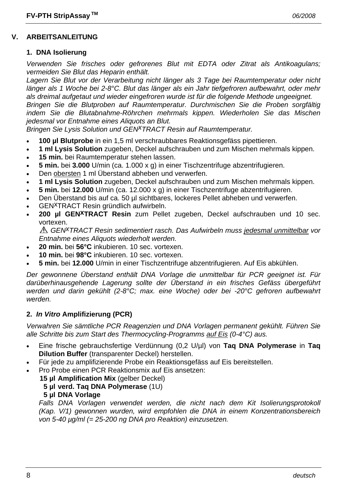#### **V. ARBEITSANLEITUNG**

#### **1. DNA Isolierung**

*Verwenden Sie frisches oder gefrorenes Blut mit EDTA oder Zitrat als Antikoagulans; vermeiden Sie Blut das Heparin enthält.* 

*Lagern Sie Blut vor der Verarbeitung nicht länger als 3 Tage bei Raumtemperatur oder nicht länger als 1 Woche bei 2-8°C. Blut das länger als ein Jahr tiefgefroren aufbewahrt, oder mehr als dreimal aufgetaut und wieder eingefroren wurde ist für die folgende Methode ungeeignet. Bringen Sie die Blutproben auf Raumtemperatur. Durchmischen Sie die Proben sorgfältig* 

*indem Sie die Blutabnahme-Röhrchen mehrmals kippen. Wiederholen Sie das Mischen jedesmal vor Entnahme eines Aliquots an Blut.* 

*Bringen Sie Lysis Solution und GEN<sup>X</sup>TRACT Resin auf Raumtemperatur.* 

- **100 µl Blutprobe** in ein 1,5 ml verschraubbares Reaktionsgefäss pipettieren.
- **1 ml Lysis Solution** zugeben, Deckel aufschrauben und zum Mischen mehrmals kippen.
- **15 min.** bei Raumtemperatur stehen lassen.
- **5 min.** bei **3.000** U/min (ca. 1.000 x g) in einer Tischzentrifuge abzentrifugieren.
- Den obersten 1 ml Überstand abheben und verwerfen.
- **1 ml Lysis Solution** zugeben, Deckel aufschrauben und zum Mischen mehrmals kippen.
- **5 min.** bei **12.000** U/min (ca. 12.000 x g) in einer Tischzentrifuge abzentrifugieren.
- Den Überstand bis auf ca. 50 µl sichtbares, lockeres Pellet abheben und verwerfen.
- GENxTRACT Resin gründlich aufwirbeln.
- 200 µl GEN<sup>X</sup>TRACT Resin zum Pellet zugeben, Deckel aufschrauben und 10 sec. vortexen.

*GENxTRACT Resin sedimentiert rasch. Das Aufwirbeln muss jedesmal unmittelbar vor Entnahme eines Aliquots wiederholt werden.* 

- **20 min.** bei **56°C** inkubieren. 10 sec. vortexen.
- **10 min.** bei **98°C** inkubieren. 10 sec. vortexen.
- **5 min.** bei **12.000** U/min in einer Tischzentrifuge abzentrifugieren. Auf Eis abkühlen.

*Der gewonnene Überstand enthält DNA Vorlage die unmittelbar für PCR geeignet ist. Für darüberhinausgehende Lagerung sollte der Überstand in ein frisches Gefäss übergeführt werden und darin gekühlt (2-8°C; max. eine Woche) oder bei -20°C gefroren aufbewahrt werden.* 

#### **2.** *In Vitro* **Amplifizierung (PCR)**

*Verwahren Sie sämtliche PCR Reagenzien und DNA Vorlagen permanent gekühlt. Führen Sie alle Schritte bis zum Start des Thermocycling-Programms auf Eis (0-4°C) aus.* 

- Eine frische gebrauchsfertige Verdünnung (0,2 U/µl) von **Taq DNA Polymerase** in **Taq Dilution Buffer** (transparenter Deckel) herstellen.
- Für jede zu amplifizierende Probe ein Reaktionsgefäss auf Eis bereitstellen.
- Pro Probe einen PCR Reaktionsmix auf Eis ansetzen:
	- **15 µl Amplification Mix** (gelber Deckel)
		- **5 µl verd. Taq DNA Polymerase** (1U)
		- **5 µl DNA Vorlage**

Falls DNA Vorlagen verwendet werden, die nicht nach dem Kit Isolierungsprotokoll *(Kap. V/1) gewonnen wurden, wird empfohlen die DNA in einem Konzentrationsbereich von 5-40 µg/ml (= 25-200 ng DNA pro Reaktion) einzusetzen.*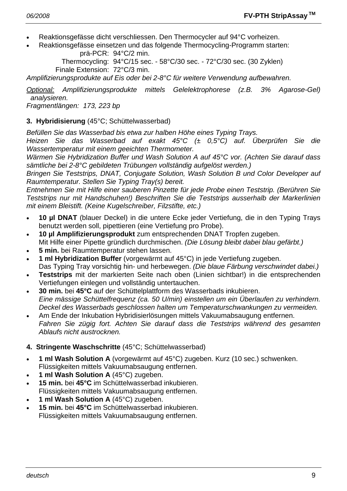- Reaktionsgefässe dicht verschliessen. Den Thermocycler auf 94°C vorheizen.
- Reaktionsgefässe einsetzen und das folgende Thermocycling-Programm starten: prä-PCR: 94°C/2 min.

 Thermocycling: 94°C/15 sec. - 58°C/30 sec. - 72°C/30 sec. (30 Zyklen) Finale Extension: 72°C/3 min.

*Amplifizierungsprodukte auf Eis oder bei 2-8°C für weitere Verwendung aufbewahren.* 

*Optional: Amplifizierungsprodukte mittels Gelelektrophorese (z.B. 3% Agarose-Gel) analysieren.* 

*Fragmentlängen: 173, 223 bp* 

## **3. Hybridisierung** (45°C; Schüttelwasserbad)

*Befüllen Sie das Wasserbad bis etwa zur halben Höhe eines Typing Trays.* 

*Heizen Sie das Wasserbad auf exakt 45°C (± 0,5°C) auf. Überprüfen Sie die Wassertemperatur mit einem geeichten Thermometer.* 

*Wärmen Sie Hybridization Buffer und Wash Solution A auf 45°C vor. (Achten Sie darauf dass sämtliche bei 2-8°C gebildeten Trübungen vollständig aufgelöst werden.)* 

*Bringen Sie Teststrips, DNAT, Conjugate Solution, Wash Solution B und Color Developer auf Raumtemperatur. Stellen Sie Typing Tray(s) bereit.* 

*Entnehmen Sie mit Hilfe einer sauberen Pinzette für jede Probe einen Teststrip. (Berühren Sie Teststrips nur mit Handschuhen!) Beschriften Sie die Teststrips ausserhalb der Markerlinien mit einem Bleistift. (Keine Kugelschreiber, Filzstifte, etc.)* 

- **10 µl DNAT** (blauer Deckel) in die untere Ecke jeder Vertiefung, die in den Typing Trays benutzt werden soll, pipettieren (eine Vertiefung pro Probe).
- **10 µl Amplifizierungsprodukt** zum entsprechenden DNAT Tropfen zugeben. Mit Hilfe einer Pipette gründlich durchmischen. *(Die Lösung bleibt dabei blau gefärbt.)*
- **5 min.** bei Raumtemperatur stehen lassen.
- **1 ml Hybridization Buffer** (vorgewärmt auf 45°C) in jede Vertiefung zugeben. Das Typing Tray vorsichtig hin- und herbewegen. *(Die blaue Färbung verschwindet dabei.)*
- **Teststrips** mit der markierten Seite nach oben (Linien sichtbar!) in die entsprechenden Vertiefungen einlegen und vollständig untertauchen.
- **30 min.** bei **45°C** auf der Schüttelplattform des Wasserbads inkubieren.  *Eine mässige Schüttelfrequenz (ca. 50 U/min) einstellen um ein Überlaufen zu verhindern. Deckel des Wasserbads geschlossen halten um Temperaturschwankungen zu vermeiden.*
- Am Ende der Inkubation Hybridisierlösungen mittels Vakuumabsaugung entfernen.  *Fahren Sie zügig fort. Achten Sie darauf dass die Teststrips während des gesamten Ablaufs nicht austrocknen.*

# **4. Stringente Waschschritte** (45°C; Schüttelwasserbad)

- **1 ml Wash Solution A** (vorgewärmt auf 45°C) zugeben. Kurz (10 sec.) schwenken. Flüssigkeiten mittels Vakuumabsaugung entfernen.
- **1 ml Wash Solution A** (45°C) zugeben.
- **15 min.** bei **45°C** im Schüttelwasserbad inkubieren. Flüssigkeiten mittels Vakuumabsaugung entfernen.
- **1 ml Wash Solution A** (45°C) zugeben.
- **15 min.** bei **45°C** im Schüttelwasserbad inkubieren. Flüssigkeiten mittels Vakuumabsaugung entfernen.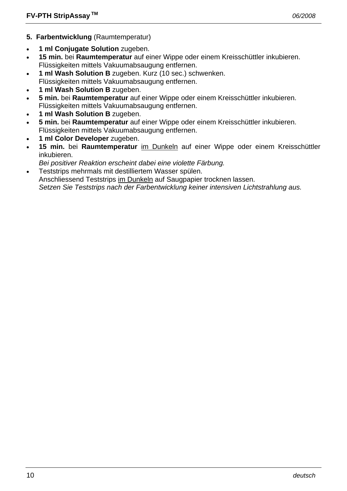- **5. Farbentwicklung** (Raumtemperatur)
- **1 ml Conjugate Solution** zugeben.
- **15 min.** bei **Raumtemperatur** auf einer Wippe oder einem Kreisschüttler inkubieren. Flüssigkeiten mittels Vakuumabsaugung entfernen.
- **1 ml Wash Solution B** zugeben. Kurz (10 sec.) schwenken.
- Flüssigkeiten mittels Vakuumabsaugung entfernen.
- **1 ml Wash Solution B** zugeben.
- **5 min.** bei **Raumtemperatur** auf einer Wippe oder einem Kreisschüttler inkubieren. Flüssigkeiten mittels Vakuumabsaugung entfernen.
- **1 ml Wash Solution B** zugeben.
- **5 min.** bei **Raumtemperatur** auf einer Wippe oder einem Kreisschüttler inkubieren. Flüssigkeiten mittels Vakuumabsaugung entfernen.
- **1 ml Color Developer** zugeben.
- **15 min.** bei **Raumtemperatur** im Dunkeln auf einer Wippe oder einem Kreisschüttler inkubieren.
- *Bei positiver Reaktion erscheint dabei eine violette Färbung.*
- Teststrips mehrmals mit destilliertem Wasser spülen.

 Anschliessend Teststrips im Dunkeln auf Saugpapier trocknen lassen.  *Setzen Sie Teststrips nach der Farbentwicklung keiner intensiven Lichtstrahlung aus.*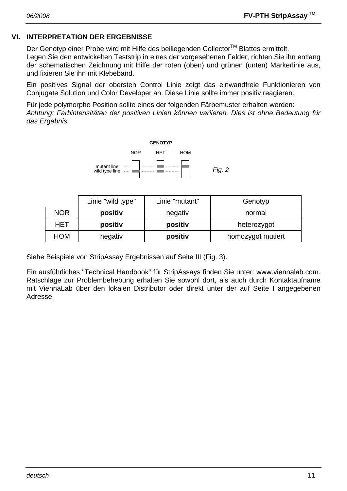# **VI. INTERPRETATION DER ERGEBNISSE**

Der Genotyp einer Probe wird mit Hilfe des beiliegenden Collector™ Blattes ermittelt. Legen Sie den entwickelten Teststrip in eines der vorgesehenen Felder, richten Sie ihn entlang der schematischen Zeichnung mit Hilfe der roten (oben) und grünen (unten) Markerlinie aus, und fixieren Sie ihn mit Klebeband.

Ein positives Signal der obersten Control Linie zeigt das einwandfreie Funktionieren von Conjugate Solution und Color Developer an. Diese Linie sollte immer positiv reagieren.

Für jede polymorphe Position sollte eines der folgenden Färbemuster erhalten werden: *Achtung: Farbintensitäten der positiven Linien können variieren. Dies ist ohne Bedeutung für das Ergebnis.* 



|            | Linie "wild type" | Linie "mutant" | Genotyp           |  |
|------------|-------------------|----------------|-------------------|--|
| <b>NOR</b> | positiv           | negativ        | normal            |  |
| HET        | positiv           | positiv        | heterozygot       |  |
| HOM        | negativ           | positiv        | homozygot mutiert |  |

Siehe Beispiele von StripAssay Ergebnissen auf Seite III (Fig. 3).

Ein ausführliches "Technical Handbook" für StripAssays finden Sie unter: www.viennalab.com. Ratschläge zur Problembehebung erhalten Sie sowohl dort, als auch durch Kontaktaufname mit ViennaLab über den lokalen Distributor oder direkt unter der auf Seite I angegebenen Adresse.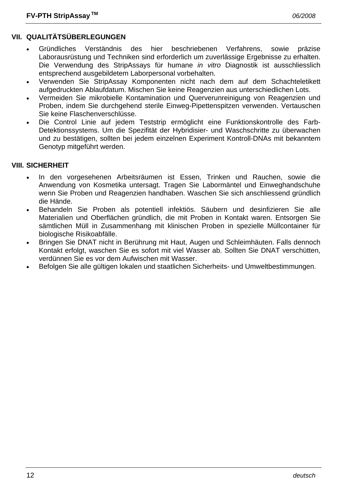# **VII. QUALITÄTSÜBERLEGUNGEN**

- Gründliches Verständnis des hier beschriebenen Verfahrens, sowie präzise Laborausrüstung und Techniken sind erforderlich um zuverlässige Ergebnisse zu erhalten. Die Verwendung des StripAssays für humane *in vitro* Diagnostik ist ausschliesslich entsprechend ausgebildetem Laborpersonal vorbehalten.
- Verwenden Sie StripAssay Komponenten nicht nach dem auf dem Schachteletikett aufgedruckten Ablaufdatum. Mischen Sie keine Reagenzien aus unterschiedlichen Lots.
- Vermeiden Sie mikrobielle Kontamination und Querverunreinigung von Reagenzien und Proben, indem Sie durchgehend sterile Einweg-Pipettenspitzen verwenden. Vertauschen Sie keine Flaschenverschlüsse.
- Die Control Linie auf jedem Teststrip ermöglicht eine Funktionskontrolle des Farb-Detektionssystems. Um die Spezifität der Hybridisier- und Waschschritte zu überwachen und zu bestätigen, sollten bei jedem einzelnen Experiment Kontroll-DNAs mit bekanntem Genotyp mitgeführt werden.

#### **VIII. SICHERHEIT**

- In den vorgesehenen Arbeitsräumen ist Essen, Trinken und Rauchen, sowie die Anwendung von Kosmetika untersagt. Tragen Sie Labormäntel und Einweghandschuhe wenn Sie Proben und Reagenzien handhaben. Waschen Sie sich anschliessend gründlich die Hände.
- Behandeln Sie Proben als potentiell infektiös. Säubern und desinfizieren Sie alle Materialien und Oberflächen gründlich, die mit Proben in Kontakt waren. Entsorgen Sie sämtlichen Müll in Zusammenhang mit klinischen Proben in spezielle Müllcontainer für biologische Risikoabfälle.
- Bringen Sie DNAT nicht in Berührung mit Haut, Augen und Schleimhäuten. Falls dennoch Kontakt erfolgt, waschen Sie es sofort mit viel Wasser ab. Sollten Sie DNAT verschütten, verdünnen Sie es vor dem Aufwischen mit Wasser.
- Befolgen Sie alle gültigen lokalen und staatlichen Sicherheits- und Umweltbestimmungen.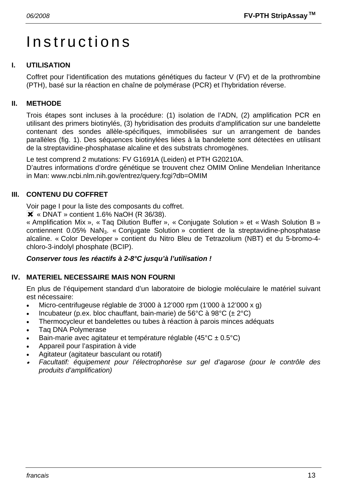# Instructions

# **I. UTILISATION**

Coffret pour l'identification des mutations génétiques du facteur V (FV) et de la prothrombine (PTH), basé sur la réaction en chaîne de polymérase (PCR) et l'hybridation réverse.

# **II. METHODE**

Trois étapes sont incluses à la procédure: (1) isolation de l'ADN, (2) amplification PCR en utilisant des primers biotinylés, (3) hybridisation des produits d'amplification sur une bandelette contenant des sondes allèle-spécifiques, immobilisées sur un arrangement de bandes parallèles (fig. 1). Des séquences biotinylées liées à la bandelette sont détectées en utilisant de la streptavidine-phosphatase alcaline et des substrats chromogènes.

Le test comprend 2 mutations: FV G1691A (Leiden) et PTH G20210A.

D'autres informations d'ordre génétique se trouvent chez OMIM Online Mendelian Inheritance in Man: www.ncbi.nlm.nih.gov/entrez/query.fcgi?db=OMIM

# **III. CONTENU DU COFFRET**

Voir page I pour la liste des composants du coffret.

 $\overline{\mathsf{X}}$  « DNAT » contient 1.6% NaOH (R 36/38).

« Amplification Mix », « Taq Dilution Buffer », « Conjugate Solution » et « Wash Solution B » contiennent 0.05% NaN<sub>3</sub>. « Conjugate Solution » contient de la streptavidine-phosphatase alcaline. « Color Developer » contient du Nitro Bleu de Tetrazolium (NBT) et du 5-bromo-4 chloro-3-indolyl phosphate (BCIP).

# *Conserver tous les réactifs à 2-8°C jusqu'à l'utilisation !*

# **IV. MATERIEL NECESSAIRE MAIS NON FOURNI**

En plus de l'équipement standard d'un laboratoire de biologie moléculaire le matériel suivant est nécessaire:

- Micro-centrifugeuse réglable de 3'000 à 12'000 rpm (1'000 à 12'000 x g)
- Incubateur (p.ex. bloc chauffant, bain-marie) de 56°C à 98°C (± 2°C)
- Thermocycleur et bandelettes ou tubes à réaction à parois minces adéquats
- Taq DNA Polymerase
- Bain-marie avec agitateur et température réglable (45°C ± 0.5°C)
- Appareil pour l'aspiration à vide
- Agitateur (agitateur basculant ou rotatif)
- • *Facultatif: équipement pour l'électrophorèse sur gel d'agarose (pour le contrôle des produits d'amplification)*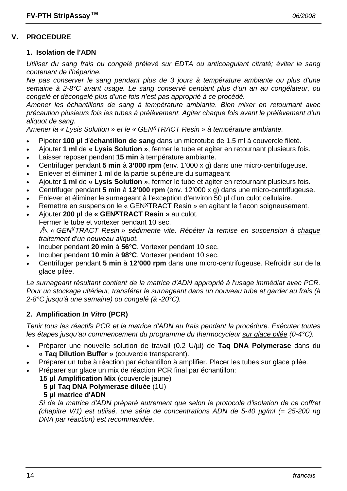### **V. PROCEDURE**

#### **1. Isolation de l'ADN**

*Utiliser du sang frais ou congelé prélevé sur EDTA ou anticoagulant citraté; éviter le sang contenant de l'héparine.* 

*Ne pas conserver le sang pendant plus de 3 jours à température ambiante ou plus d'une semaine à 2-8°C avant usage. Le sang conservé pendant plus d'un an au congélateur, ou congelé et décongelé plus d'une fois n'est pas approprié à ce procédé.* 

*Amener les échantillons de sang à température ambiante. Bien mixer en retournant avec précaution plusieurs fois les tubes à prélèvement. Agiter chaque fois avant le prélèvement d'un aliquot de sang.* 

*Amener la « Lysis Solution » et le « GENxTRACT Resin » à température ambiante.*

- Pipeter **100 µl** d'**échantillon de sang** dans un microtube de 1.5 ml à couvercle fileté.
- Ajouter **1 ml** de **« Lysis Solution »**, fermer le tube et agiter en retournant plusieurs fois.
- Laisser reposer pendant **15 min** à température ambiante.
- Centrifuger pendant **5 min** à **3'000 rpm** (env. 1'000 x g) dans une micro-centrifugeuse.
- Enlever et éliminer 1 ml de la partie supérieure du surnageant
- Ajouter **1 ml** de **« Lysis Solution »**, fermer le tube et agiter en retournant plusieurs fois.
- Centrifuger pendant **5 min** à **12'000 rpm** (env. 12'000 x g) dans une micro-centrifugeuse.
- Enlever et éliminer le surnageant à l'exception d'environ 50 µl d'un culot cellulaire.
- Remettre en suspension le « GEN<sup>X</sup>TRACT Resin » en agitant le flacon soigneusement.
- Ajouter **200 µl** de **« GENxTRACT Resin »** au culot.
- Fermer le tube et vortexer pendant 10 sec.

*« GENxTRACT Resin » sédimente vite. Répéter la remise en suspension à chaque traitement d'un nouveau aliquot.* 

- Incuber pendant **20 min** à **56°C**. Vortexer pendant 10 sec.
- Incuber pendant **10 min** à **98°C**. Vortexer pendant 10 sec.
- Centrifuger pendant **5 min** à **12'000 rpm** dans une micro-centrifugeuse. Refroidir sur de la glace pilée.

*Le surnageant résultant contient de la matrice d'ADN approprié à l'usage immédiat avec PCR. Pour un stockage ultérieur, transférer le surnageant dans un nouveau tube et garder au frais (à 2-8°C jusqu'à une semaine) ou congelé (à -20°C).* 

#### **2. Amplification** *In Vitro* **(PCR)**

*Tenir tous les réactifs PCR et la matrice d'ADN au frais pendant la procédure. Exécuter toutes les étapes jusqu'au commencement du programme du thermocycleur sur glace pilée (0-4°C).* 

- Préparer une nouvelle solution de travail (0.2 U/µl) de **Taq DNA Polymerase** dans du **« Taq Dilution Buffer »** (couvercle transparent).
- Préparer un tube à réaction par échantillon à amplifier. Placer les tubes sur glace pilée.
- Préparer sur glace un mix de réaction PCR final par échantillon:
	- **15 µl Amplification Mix** (couvercle jaune)
		- **5 µl Taq DNA Polymerase diluée** (1U)
		- **5 µl matrice d'ADN**

 *Si de la matrice d'ADN préparé autrement que selon le protocole d'isolation de ce coffret (chapitre V/1) est utilisé, une série de concentrations ADN de 5-40 µg/ml (= 25-200 ng DNA par réaction) est recommandée.*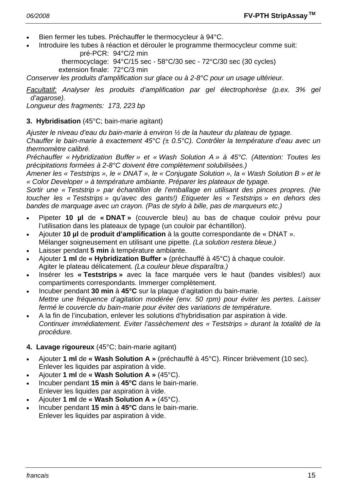- Bien fermer les tubes. Préchauffer le thermocycleur à 94°C.
- Introduire les tubes à réaction et dérouler le programme thermocycleur comme suit:

 pré-PCR: 94°C/2 min thermocyclage: 94°C/15 sec - 58°C/30 sec - 72°C/30 sec (30 cycles) extension finale: 72°C/3 min

*Conserver les produits d'amplification sur glace ou à 2-8°C pour un usage ultérieur.* 

*Facultatif: Analyser les produits d'amplification par gel électrophorèse (p.ex. 3% gel d'agarose).* 

*Longueur des fragments: 173, 223 bp* 

#### **3. Hybridisation** (45°C; bain-marie agitant)

*Ajuster le niveau d'eau du bain-marie à environ ½ de la hauteur du plateau de typage.* 

*Chauffer le bain-marie à exactement 45°C (± 0.5°C). Contrôler la température d'eau avec un thermomètre calibré.* 

*Préchauffer « Hybridization Buffer » et « Wash Solution A » à 45°C. (Attention: Toutes les précipitations formées à 2-8°C doivent être complètement solubilisèes.)* 

*Amener les « Teststrips », le « DNAT », le « Conjugate Solution », la « Wash Solution B » et le « Color Developer » à température ambiante. Préparer les plateaux de typage.* 

*Sortir une « Teststrip » par échantillon de l'emballage en utilisant des pinces propres. (Ne toucher les « Teststrips » qu'avec des gants!) Etiqueter les « Teststrips » en dehors des bandes de marquage avec un crayon. (Pas de stylo à bille, pas de marqueurs etc.)* 

- Pipeter **10 µl** de **« DNAT »** (couvercle bleu) au bas de chaque couloir prévu pour l'utilisation dans les plateaux de typage (un couloir par échantillon).
- Ajouter **10 µl** de **produit d'amplification** à la goutte correspondante de « DNAT ». Mélanger soigneusement en utilisant une pipette. *(La solution restera bleue.)*
- Laisser pendant **5 min** à température ambiante.
- Ajouter **1 ml** de **« Hybridization Buffer »** (préchauffé à 45°C) à chaque couloir. Agiter le plateau délicatement. *(La couleur bleue disparaîtra.)*
- Insérer les **« Teststrips »** avec la face marquée vers le haut (bandes visibles!) aux compartiments correspondants. Immerger complètement.
- Incuber pendant **30 min** à **45°C** sur la plaque d'agitation du bain-marie. *Mettre une fréquence d'agitation modérée (env. 50 rpm) pour éviter les pertes. Laisser fermé le couvercle du bain-marie pour éviter des variations de température.*
- A la fin de l'incubation, enlever les solutions d'hybridisation par aspiration à vide.  *Continuer immédiatement. Eviter l'assèchement des « Teststrips » durant la totalité de la procédure.*

#### **4. Lavage rigoureux** (45°C; bain-marie agitant)

- Ajouter **1 ml** de **« Wash Solution A »** (préchauffé à 45°C). Rincer brièvement (10 sec). Enlever les liquides par aspiration à vide.
- Ajouter **1 ml** de **« Wash Solution A »** (45°C).
- Incuber pendant **15 min** à **45°C** dans le bain-marie. Enlever les liquides par aspiration à vide.
- Ajouter **1 ml** de **« Wash Solution A »** (45°C).
- Incuber pendant **15 min** à **45°C** dans le bain-marie. Enlever les liquides par aspiration à vide.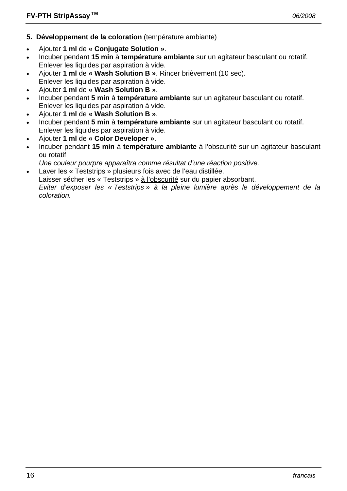- **5. Développement de la coloration** (température ambiante)
- Ajouter **1 ml** de **« Conjugate Solution »**.
- Incuber pendant **15 min** à **température ambiante** sur un agitateur basculant ou rotatif. Enlever les liquides par aspiration à vide.
- Ajouter **1 ml** de **« Wash Solution B »**. Rincer brièvement (10 sec). Enlever les liquides par aspiration à vide.
- Ajouter **1 ml** de **« Wash Solution B »**.
- Incuber pendant **5 min** à **température ambiante** sur un agitateur basculant ou rotatif. Enlever les liquides par aspiration à vide.
- Ajouter **1 ml** de **« Wash Solution B »**.
- Incuber pendant **5 min** à **température ambiante** sur un agitateur basculant ou rotatif. Enlever les liquides par aspiration à vide.
- Ajouter **1 ml** de **« Color Developer »**.
- Incuber pendant **15 min** à **température ambiante** à l'obscurité sur un agitateur basculant ou rotatif
- *Une couleur pourpre apparaîtra comme résultat d'une réaction positive.*
- Laver les « Teststrips » plusieurs fois avec de l'eau distillée.

Laisser sécher les « Teststrips » à l'obscurité sur du papier absorbant.

 *Eviter d'exposer les « Teststrips » à la pleine lumière après le développement de la coloration.*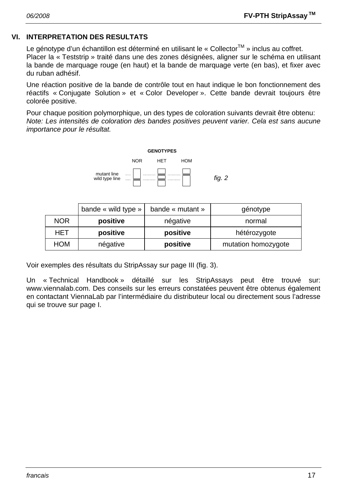#### **VI. INTERPRETATION DES RESULTATS**

Le génotype d'un échantillon est déterminé en utilisant le « Collector™ » inclus au coffret. Placer la « Teststrip » traité dans une des zones désignées, aligner sur le schéma en utilisant la bande de marquage rouge (en haut) et la bande de marquage verte (en bas), et fixer avec du ruban adhésif.

Une réaction positive de la bande de contrôle tout en haut indique le bon fonctionnement des réactifs « Conjugate Solution » et « Color Developer ». Cette bande devrait toujours être colorée positive.

Pour chaque position polymorphique, un des types de coloration suivants devrait être obtenu: *Note: Les intensités de coloration des bandes positives peuvent varier. Cela est sans aucune importance pour le résultat.* 



|            | bande « wild type » | bande « mutant » | génotype            |  |
|------------|---------------------|------------------|---------------------|--|
| <b>NOR</b> | positive            | négative         | normal              |  |
| HET        | positive            | positive         | hétérozygote        |  |
| <b>HOM</b> | négative            | positive         | mutation homozygote |  |

Voir exemples des résultats du StripAssay sur page III (fig. 3).

Un « Technical Handbook » détaillé sur les StripAssays peut être trouvé sur: www.viennalab.com. Des conseils sur les erreurs constatées peuvent être obtenus également en contactant ViennaLab par l'intermédiaire du distributeur local ou directement sous l'adresse qui se trouve sur page I.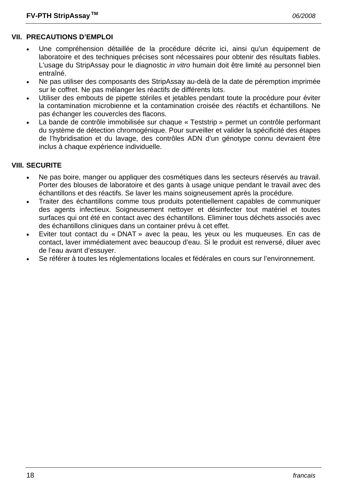# **VII. PRECAUTIONS D'EMPLOI**

- Une compréhension détaillée de la procédure décrite ici, ainsi qu'un équipement de laboratoire et des techniques précises sont nécessaires pour obtenir des résultats fiables. L'usage du StripAssay pour le diagnostic *in vitro* humain doit être limité au personnel bien entraîné.
- Ne pas utiliser des composants des StripAssay au-delà de la date de péremption imprimée sur le coffret. Ne pas mélanger les réactifs de différents lots.
- Utiliser des embouts de pipette stériles et jetables pendant toute la procédure pour éviter la contamination microbienne et la contamination croisée des réactifs et échantillons. Ne pas échanger les couvercles des flacons.
- La bande de contrôle immobilisée sur chaque « Teststrip » permet un contrôle performant du système de détection chromogénique. Pour surveiller et valider la spécificité des étapes de l'hybridisation et du lavage, des contrôles ADN d'un génotype connu devraient être inclus à chaque expérience individuelle.

# **VIII. SECURITE**

- Ne pas boire, manger ou appliquer des cosmétiques dans les secteurs réservés au travail. Porter des blouses de laboratoire et des gants à usage unique pendant le travail avec des échantillons et des réactifs. Se laver les mains soigneusement après la procédure.
- Traiter des échantillons comme tous produits potentiellement capables de communiquer des agents infectieux. Soigneusement nettoyer et désinfecter tout matériel et toutes surfaces qui ont été en contact avec des échantillons. Eliminer tous déchets associés avec des échantillons cliniques dans un container prévu à cet effet.
- Eviter tout contact du « DNAT » avec la peau, les yeux ou les muqueuses. En cas de contact, laver immédiatement avec beaucoup d'eau. Si le produit est renversé, diluer avec de l'eau avant d'essuyer.
- Se référer à toutes les réglementations locales et fédérales en cours sur l'environnement.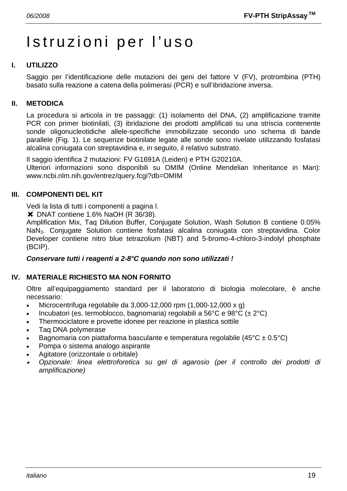# Istruzioni per l'uso

# **I. UTILIZZO**

Saggio per l'identificazione delle mutazioni dei geni del fattore V (FV), protrombina (PTH) basato sulla reazione a catena della polimerasi (PCR) e sull'ibridazione inversa.

#### **II. METODICA**

La procedura si articola in tre passaggi: (1) isolamento del DNA, (2) amplificazione tramite PCR con primer biotinilati, (3) ibridazione dei prodotti amplificati su una striscia contenente sonde oligonucleotidiche allele-specifiche immobilizzate secondo uno schema di bande parallele (Fig. 1). Le sequenze biotinilate legate alle sonde sono rivelate utilizzando fosfatasi alcalina coniugata con streptavidina e, in seguito, il relativo substrato.

Il saggio identifica 2 mutazioni: FV G1691A (Leiden) e PTH G20210A. Ulteriori informazioni sono disponibili su OMIM (Online Mendelian Inheritance in Man): www.ncbi.nlm.nih.gov/entrez/query.fcgi?db=OMIM

#### **III. COMPONENTI DEL KIT**

Vedi la lista di tutti i componenti a pagina I.

**X** DNAT contiene 1.6% NaOH (R 36/38).

Amplification Mix, Taq Dilution Buffer, Conjugate Solution, Wash Solution B contiene 0.05% NaN3. Conjugate Solution contiene fosfatasi alcalina coniugata con streptavidina. Color Developer contiene nitro blue tetrazolium (NBT) and 5-bromo-4-chloro-3-indolyl phosphate (BCIP).

#### *Conservare tutti i reagenti a 2-8°C quando non sono utilizzati !*

#### **IV. MATERIALE RICHIESTO MA NON FORNITO**

Oltre all'equipaggiamento standard per il laboratorio di biologia molecolare, è anche necessario:

- Microcentrifuga regolabile da  $3.000-12.000$  rpm  $(1.000-12.000 \times g)$
- Incubatori (es. termoblocco, bagnomaria) regolabili a 56°C e 98°C ( $\pm$  2°C)
- Thermociclatore e provette idonee per reazione in plastica sottile
- Taq DNA polymerase
- Bagnomaria con piattaforma basculante e temperatura regolabile (45 $^{\circ}$ C ± 0.5 $^{\circ}$ C)
- Pompa o sistema analogo aspirante
- Agitatore (orizzontale o orbitale)
- • *Opzionale: linea elettroforetica su gel di agarosio (per il controllo dei prodotti di amplificazione)*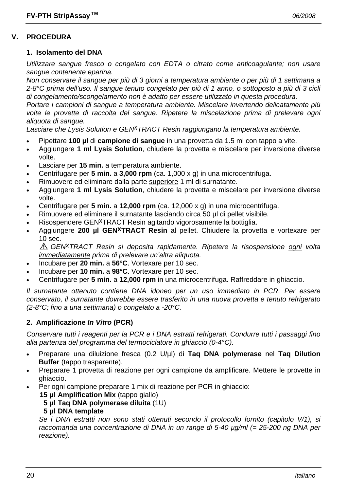# **V. PROCEDURA**

#### **1. Isolamento del DNA**

*Utilizzare sangue fresco o congelato con EDTA o citrato come anticoagulante; non usare sangue contenente eparina.* 

*Non conservare il sangue per più di 3 giorni a temperatura ambiente o per più di 1 settimana a 2-8°C prima dell'uso. Il sangue tenuto congelato per più di 1 anno, o sottoposto a più di 3 cicli di congelamento/scongelamento non è adatto per essere utilizzato in questa procedura.* 

*Portare i campioni di sangue a temperatura ambiente. Miscelare invertendo delicatamente più volte le provette di raccolta del sangue. Ripetere la miscelazione prima di prelevare ogni aliquota di sangue.* 

*Lasciare che Lysis Solution e GENxTRACT Resin raggiungano la temperatura ambiente.*

- Pipettare **100 µl** di **campione di sangue** in una provetta da 1.5 ml con tappo a vite.
- Aggiungere **1 ml Lysis Solution**, chiudere la provetta e miscelare per inversione diverse volte.
- Lasciare per **15 min.** a temperatura ambiente.
- Centrifugare per **5 min.** a **3,000 rpm** (ca. 1,000 x g) in una microcentrifuga.
- Rimuovere ed eliminare dalla parte superiore 1 ml di surnatante.
- Aggiungere **1 ml Lysis Solution**, chiudere la provetta e miscelare per inversione diverse volte.
- Centrifugare per **5 min.** a **12,000 rpm** (ca. 12,000 x g) in una microcentrifuga.
- Rimuovere ed eliminare il surnatante lasciando circa 50 µl di pellet visibile.
- Risospendere GEN<sup>X</sup>TRACT Resin agitando vigorosamente la bottiglia.
- Aggiungere **200 µl GENxTRACT Resin** al pellet. Chiudere la provetta e vortexare per 10 sec.

*GENxTRACT Resin si deposita rapidamente. Ripetere la risospensione ogni volta immediatamente prima di prelevare un'altra aliquota.* 

- Incubare per **20 min.** a **56°C**. Vortexare per 10 sec.
- Incubare per **10 min.** a **98°C**. Vortexare per 10 sec.
- Centrifugare per **5 min.** a **12,000 rpm** in una microcentrifuga. Raffreddare in ghiaccio.

*Il surnatante ottenuto contiene DNA idoneo per un uso immediato in PCR. Per essere conservato, il surnatante dovrebbe essere trasferito in una nuova provetta e tenuto refrigerato (2-8°C; fino a una settimana) o congelato a -20°C.* 

#### **2. Amplificazione** *In Vitro* **(PCR)**

*Conservare tutti i reagenti per la PCR e i DNA estratti refrigerati. Condurre tutti i passaggi fino alla partenza del programma del termociclatore in ghiaccio (0-4°C).* 

- Preparare una diluizione fresca (0.2 U/µl) di **Taq DNA polymerase** nel **Taq Dilution Buffer** (tappo trasparente).
- Preparare 1 provetta di reazione per ogni campione da amplificare. Mettere le provette in ghiaccio.
	- Per ogni campione preparare 1 mix di reazione per PCR in ghiaccio:
		- **15 µl Amplification Mix** (tappo giallo)
			- **5 µl Taq DNA polymerase diluita** (1U)

#### **5 µl DNA template**

 *Se i DNA estratti non sono stati ottenuti secondo il protocollo fornito (capitolo V/1), si raccomanda una concentrazione di DNA in un range di 5-40 µg/ml (= 25-200 ng DNA per reazione).*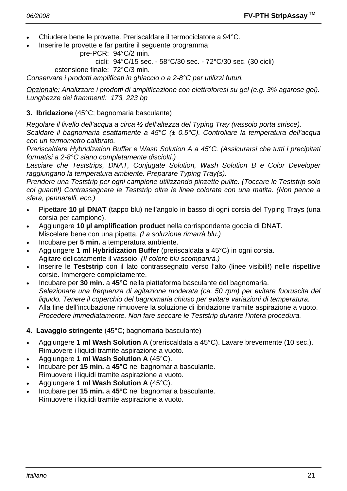- Chiudere bene le provette. Preriscaldare il termociclatore a 94°C.
- Inserire le provette e far partire il seguente programma:

```
 pre-PCR: 94°C/2 min.
```
cicli: 94°C/15 sec. - 58°C/30 sec. - 72°C/30 sec. (30 cicli)

estensione finale: 72°C/3 min.

*Conservare i prodotti amplificati in ghiaccio o a 2-8°C per utilizzi futuri.* 

*Opzionale: Analizzare i prodotti di amplificazione con elettroforesi su gel (e.g. 3% agarose gel). Lunghezze dei frammenti: 173, 223 bp* 

#### **3. Ibridazione** (45°C; bagnomaria basculante)

*Regolare il livello dell'acqua a circa ½ dell'altezza del Typing Tray (vassoio porta strisce).* 

*Scaldare il bagnomaria esattamente a 45°C (± 0.5°C). Controllare la temperatura dell'acqua con un termometro calibrato.* 

*Preriscaldare Hybridization Buffer e Wash Solution A a 45°C. (Assicurarsi che tutti i precipitati formatisi a 2-8°C siano completamente disciolti.)* 

*Lasciare che Teststrips, DNAT, Conjugate Solution, Wash Solution B e Color Developer raggiungano la temperatura ambiente. Preparare Typing Tray(s).* 

*Prendere una Teststrip per ogni campione utilizzando pinzette pulite. (Toccare le Teststrip solo coi guanti!) Contrassegnare le Teststrip oltre le linee colorate con una matita. (Non penne a sfera, pennarelli, ecc.)* 

- Pipettare **10 µl DNAT** (tappo blu) nell'angolo in basso di ogni corsia del Typing Trays (una corsia per campione).
- Aggiungere **10 µl amplification product** nella corrispondente goccia di DNAT. Miscelare bene con una pipetta. *(La soluzione rimarrà blu.)*
- Incubare per **5 min.** a temperatura ambiente.
- Aggiungere **1 ml Hybridization Buffer** (preriscaldata a 45°C) in ogni corsia. Agitare delicatamente il vassoio. *(Il colore blu scomparirà.)*
- Inserire le **Teststrip** con il lato contrassegnato verso l'alto (linee visibili!) nelle rispettive corsie. Immergere completamente.
- Incubare per **30 min.** a **45°C** nella piattaforma basculante del bagnomaria.  *Selezionare una frequenza di agitazione moderata (ca. 50 rpm) per evitare fuoruscita del liquido. Tenere il coperchio del bagnomaria chiuso per evitare variazioni di temperatura.*
- Alla fine dell'incubazione rimuovere la soluzione di ibridazione tramite aspirazione a vuoto.  *Procedere immediatamente. Non fare seccare le Teststrip durante l'intera procedura.*
- **4. Lavaggio stringente** (45°C; bagnomaria basculante)
- Aggiungere **1 ml Wash Solution A** (preriscaldata a 45°C). Lavare brevemente (10 sec.). Rimuovere i liquidi tramite aspirazione a vuoto.
- Aggiungere **1 ml Wash Solution A** (45°C).
- Incubare per **15 min.** a **45°C** nel bagnomaria basculante. Rimuovere i liquidi tramite aspirazione a vuoto.
- Aggiungere **1 ml Wash Solution A** (45°C).
- Incubare per **15 min.** a **45°C** nel bagnomaria basculante. Rimuovere i liquidi tramite aspirazione a vuoto.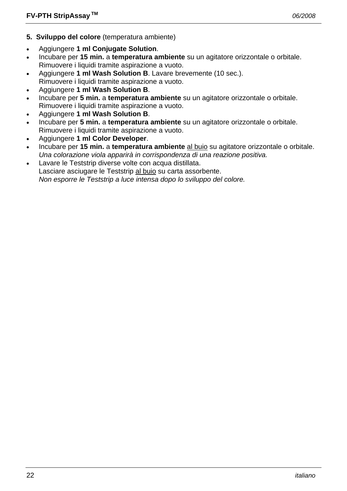- **5. Sviluppo del colore** (temperatura ambiente)
- Aggiungere **1 ml Conjugate Solution**.
- Incubare per **15 min.** a **temperatura ambiente** su un agitatore orizzontale o orbitale. Rimuovere i liquidi tramite aspirazione a vuoto.
- Aggiungere **1 ml Wash Solution B**. Lavare brevemente (10 sec.). Rimuovere i liquidi tramite aspirazione a vuoto.
- Aggiungere **1 ml Wash Solution B**.
- Incubare per **5 min.** a **temperatura ambiente** su un agitatore orizzontale o orbitale. Rimuovere i liquidi tramite aspirazione a vuoto.
- Aggiungere **1 ml Wash Solution B**.
- Incubare per **5 min.** a **temperatura ambiente** su un agitatore orizzontale o orbitale. Rimuovere i liquidi tramite aspirazione a vuoto.
- Aggiungere **1 ml Color Developer**.
- Incubare per **15 min.** a **temperatura ambiente** al buio su agitatore orizzontale o orbitale.  *Una colorazione viola apparirà in corrispondenza di una reazione positiva.*
- Lavare le Teststrip diverse volte con acqua distillata. Lasciare asciugare le Teststrip al buio su carta assorbente.  *Non esporre le Teststrip a luce intensa dopo lo sviluppo del colore.*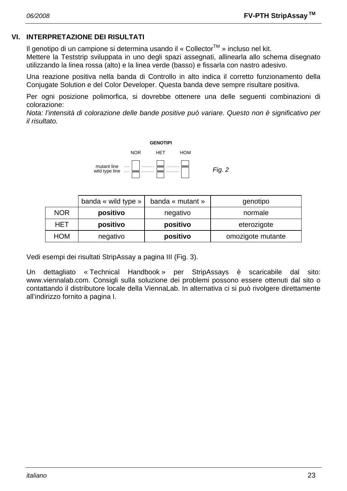#### **VI. INTERPRETAZIONE DEI RISULTATI**

Il genotipo di un campione si determina usando il « Collector<sup>TM</sup> » incluso nel kit.

Mettere la Teststrip sviluppata in uno degli spazi assegnati, allinearla allo schema disegnato utilizzando la linea rossa (alto) e la linea verde (basso) e fissarla con nastro adesivo.

Una reazione positiva nella banda di Controllo in alto indica il corretto funzionamento della Conjugate Solution e del Color Developer. Questa banda deve sempre risultare positiva.

Per ogni posizione polimorfica, si dovrebbe ottenere una delle seguenti combinazioni di colorazione:

*Nota: l'intensità di colorazione delle bande positive può variare. Questo non è significativo per il risultato.* 



|            | banda « wild type » | banda « mutant » | genotipo          |  |
|------------|---------------------|------------------|-------------------|--|
| <b>NOR</b> | positivo            | negativo         | normale           |  |
| HET        | positivo            | positivo         | eterozigote       |  |
| <b>HOM</b> | negativo            | positivo         | omozigote mutante |  |

Vedi esempi dei risultati StripAssay a pagina III (Fig. 3).

Un dettagliato « Technical Handbook » per StripAssays è scaricabile dal sito: www.viennalab.com. Consigli sulla soluzione dei problemi possono essere ottenuti dal sito o contattando il distributore locale della ViennaLab. In alternativa ci si può rivolgere direttamente all'indirizzo fornito a pagina I.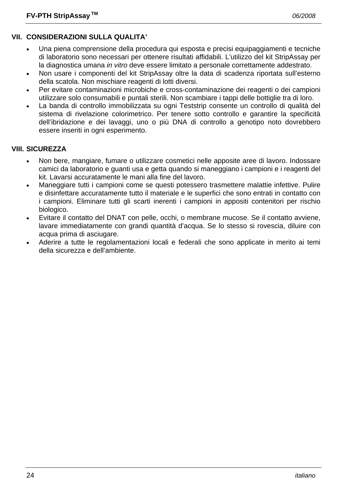# **VII. CONSIDERAZIONI SULLA QUALITA'**

- Una piena comprensione della procedura qui esposta e precisi equipaggiamenti e tecniche di laboratorio sono necessari per ottenere risultati affidabili. L'utilizzo del kit StripAssay per la diagnostica umana *in vitro* deve essere limitato a personale correttamente addestrato.
- Non usare i componenti del kit StripAssay oltre la data di scadenza riportata sull'esterno della scatola. Non mischiare reagenti di lotti diversi.
- Per evitare contaminazioni microbiche e cross-contaminazione dei reagenti o dei campioni utilizzare solo consumabili e puntali sterili. Non scambiare i tappi delle bottiglie tra di loro.
- La banda di controllo immobilizzata su ogni Teststrip consente un controllo di qualità del sistema di rivelazione colorimetrico. Per tenere sotto controllo e garantire la specificità dell'ibridazione e dei lavaggi, uno o più DNA di controllo a genotipo noto dovrebbero essere inseriti in ogni esperimento.

# **VIII. SICUREZZA**

- Non bere, mangiare, fumare o utilizzare cosmetici nelle apposite aree di lavoro. Indossare camici da laboratorio e guanti usa e getta quando si maneggiano i campioni e i reagenti del kit. Lavarsi accuratamente le mani alla fine del lavoro.
- Maneggiare tutti i campioni come se questi potessero trasmettere malattie infettive. Pulire e disinfettare accuratamente tutto il materiale e le superfici che sono entrati in contatto con i campioni. Eliminare tutti gli scarti inerenti i campioni in appositi contenitori per rischio biologico.
- Evitare il contatto del DNAT con pelle, occhi, o membrane mucose. Se il contatto avviene, lavare immediatamente con grandi quantità d'acqua. Se lo stesso si rovescia, diluire con acqua prima di asciugare.
- Aderire a tutte le regolamentazioni locali e federali che sono applicate in merito ai temi della sicurezza e dell'ambiente.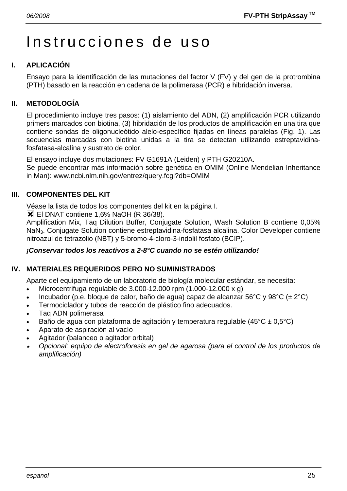# Instrucciones de uso

# **I. APLICACIÓN**

Ensayo para la identificación de las mutaciones del factor V (FV) y del gen de la protrombina (PTH) basado en la reacción en cadena de la polimerasa (PCR) e hibridación inversa.

# **II. METODOLOGÍA**

El procedimiento incluye tres pasos: (1) aislamiento del ADN, (2) amplificación PCR utilizando primers marcados con biotina, (3) hibridación de los productos de amplificación en una tira que contiene sondas de oligonucleótido alelo-específico fijadas en líneas paralelas (Fig. 1). Las secuencias marcadas con biotina unidas a la tira se detectan utilizando estreptavidinafosfatasa-alcalina y sustrato de color.

El ensayo incluye dos mutaciones: FV G1691A (Leiden) y PTH G20210A.

Se puede encontrar más información sobre genética en OMIM (Online Mendelian Inheritance in Man): www.ncbi.nlm.nih.gov/entrez/query.fcgi?db=OMIM

# **III. COMPONENTES DEL KIT**

Véase la lista de todos los componentes del kit en la página I.

**X** El DNAT contiene 1,6% NaOH (R 36/38).

Amplification Mix, Taq Dilution Buffer, Conjugate Solution, Wash Solution B contiene 0,05% NaN3. Conjugate Solution contiene estreptavidina-fosfatasa alcalina. Color Developer contiene nitroazul de tetrazolio (NBT) y 5-bromo-4-cloro-3-indolil fosfato (BCIP).

#### *¡Conservar todos los reactivos a 2-8°C cuando no se estén utilizando!*

# **IV. MATERIALES REQUERIDOS PERO NO SUMINISTRADOS**

Aparte del equipamiento de un laboratorio de biología molecular estándar, se necesita:

- Microcentrifuga regulable de 3.000-12.000 rpm (1.000-12.000 x g)
- Incubador (p.e. bloque de calor, baño de agua) capaz de alcanzar 56°C y 98°C (± 2°C)
- Termociclador y tubos de reacción de plástico fino adecuados.
- Taq ADN polimerasa
- Baño de agua con plataforma de agitación y temperatura regulable (45 $^{\circ}$ C ± 0,5 $^{\circ}$ C)
- Aparato de aspiración al vacío
- Agitador (balanceo o agitador orbital)
- • *Opcional: equipo de electroforesis en gel de agarosa (para el control de los productos de amplificación)*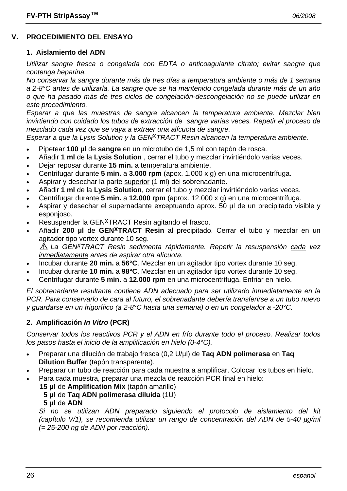# **V. PROCEDIMIENTO DEL ENSAYO**

#### **1. Aislamiento del ADN**

*Utilizar sangre fresca o congelada con EDTA o anticoagulante citrato; evitar sangre que contenga heparina.* 

*No conservar la sangre durante más de tres días a temperatura ambiente o más de 1 semana a 2-8°C antes de utilizarla. La sangre que se ha mantenido congelada durante más de un año o que ha pasado más de tres ciclos de congelación-descongelación no se puede utilizar en este procedimiento.* 

*Esperar a que las muestras de sangre alcancen la temperatura ambiente. Mezclar bien invirtiendo con cuidado los tubos de extracción de sangre varias veces. Repetir el proceso de mezclado cada vez que se vaya a extraer una alícuota de sangre.* 

*Esperar a que la Lysis Solution y la GENxTRACT Resin alcancen la temperatura ambiente.*

- Pipetear **100 µl** de **sangre** en un microtubo de 1,5 ml con tapón de rosca.
- Añadir **1 ml** de la **Lysis Solution** , cerrar el tubo y mezclar invirtiéndolo varias veces.
- Dejar reposar durante **15 min.** a temperatura ambiente.
- Centrifugar durante **5 min.** a **3.000 rpm** (apox. 1.000 x g) en una microcentrífuga.
- Aspirar y desechar la parte superior (1 ml) del sobrenadante.
- Añadir **1 ml** de la **Lysis Solution**, cerrar el tubo y mezclar invirtiéndolo varias veces.
- Centrifugar durante **5 min.** a **12.000 rpm** (aprox. 12.000 x g) en una microcentrífuga.
- Aspirar y desechar el supernadante exceptuando aprox. 50 µl de un precipitado visible y esponjoso.
- Resuspender la GEN<sup>X</sup>TRACT Resin agitando el frasco.
- Añadir **200 µl** de **GENxTRACT Resin** al precipitado. Cerrar el tubo y mezclar en un agitador tipo vortex durante 10 seg.

*La GENxTRACT Resin sedimenta rápidamente. Repetir la resuspensión cada vez inmediatamente antes de aspirar otra alícuota.* 

- Incubar durante **20 min.** a **56°C**. Mezclar en un agitador tipo vortex durante 10 seg.
- Incubar durante **10 min.** a **98°C**. Mezclar en un agitador tipo vortex durante 10 seg.
- Centrifugar durante **5 min.** a **12.000 rpm** en una microcentrífuga. Enfriar en hielo.

*El sobrenadante resultante contiene ADN adecuado para ser utilizado inmediatamente en la PCR. Para conservarlo de cara al futuro, el sobrenadante debería transferirse a un tubo nuevo y guardarse en un frigorífico (a 2-8°C hasta una semana) o en un congelador a -20°C.* 

#### **2. Amplificación** *In Vitro* **(PCR)**

*Conservar todos los reactivos PCR y el ADN en frío durante todo el proceso. Realizar todos los pasos hasta el inicio de la amplificación en hielo (0-4°C).* 

- Preparar una dilución de trabajo fresca (0,2 U/µl) de **Taq ADN polimerasa** en **Taq Dilution Buffer** (tapón transparente).
- Preparar un tubo de reacción para cada muestra a amplificar. Colocar los tubos en hielo.
- Para cada muestra, preparar una mezcla de reacción PCR final en hielo:
	- **15 µl** de **Amplification Mix** (tapón amarillo)
		- **5 µl** de **Taq ADN polimerasa diluida** (1U)
		- **5 µl** de **ADN**

 *Si no se utilizan ADN preparado siguiendo el protocolo de aislamiento del kit (capítulo V/1), se recomienda utilizar un rango de concentración del ADN de 5-40 µg/ml (= 25-200 ng de ADN por reacción).*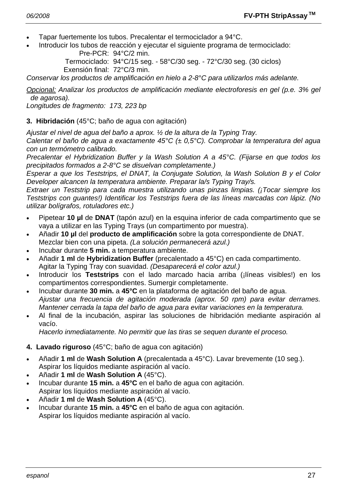- Tapar fuertemente los tubos. Precalentar el termociclador a 94°C.
- Introducir los tubos de reacción y ejecutar el siguiente programa de termociclado: Pre-PCR: 94°C/2 min.

 Termociclado: 94°C/15 seg. - 58°C/30 seg. - 72°C/30 seg. (30 ciclos) Exensión final: 72°C/3 min.

*Conservar los productos de amplificación en hielo a 2-8°C para utilizarlos más adelante.* 

*Opcional: Analizar los productos de amplificación mediante electroforesis en gel (p.e. 3% gel de agarosa).* 

*Longitudes de fragmento: 173, 223 bp* 

#### **3. Hibridación** (45°C; baño de agua con agitación)

*Ajustar el nivel de agua del baño a aprox. ½ de la altura de la Typing Tray.* 

*Calentar el baño de agua a exactamente 45°C (± 0,5°C). Comprobar la temperatura del agua con un termómetro calibrado.* 

*Precalentar el Hybridization Buffer y la Wash Solution A a 45°C. (Fijarse en que todos los precipitados formados a 2-8°C se disuelvan completamente.)* 

*Esperar a que los Teststrips, el DNAT, la Conjugate Solution, la Wash Solution B y el Color Developer alcancen la temperatura ambiente. Preparar la/s Typing Tray/s.* 

*Extraer un Teststrip para cada muestra utilizando unas pinzas limpias. (¡Tocar siempre los Teststrips con guantes!) Identificar los Teststrips fuera de las líneas marcadas con lápiz. (No utilizar bolígrafos, rotuladores etc.)* 

- Pipetear **10 µl** de **DNAT** (tapón azul) en la esquina inferior de cada compartimento que se vaya a utilizar en las Typing Trays (un compartimento por muestra).
- Añadir **10 µl** del **producto de amplificación** sobre la gota correspondiente de DNAT. Mezclar bien con una pipeta. *(La solución permanecerá azul.)*
- Incubar durante **5 min.** a temperatura ambiente.
- Añadir **1 ml** de **Hybridization Buffer** (precalentado a 45°C) en cada compartimento. Agitar la Typing Tray con suavidad. *(Desaparecerá el color azul.)*
- Introducir los **Teststrips** con el lado marcado hacia arriba (¡líneas visibles!) en los compartimentos correspondientes. Sumergir completamente.
- Incubar durante **30 min.** a **45°C** en la plataforma de agitación del baño de agua.  *Ajustar una frecuencia de agitación moderada (aprox. 50 rpm) para evitar derrames. Mantener cerrada la tapa del baño de agua para evitar variaciones en la temperatura.*
- Al final de la incubación, aspirar las soluciones de hibridación mediante aspiración al vacío.

 *Hacerlo inmediatamente. No permitir que las tiras se sequen durante el proceso.* 

- **4. Lavado riguroso** (45°C; baño de agua con agitación)
- Añadir **1 ml** de **Wash Solution A** (precalentada a 45°C). Lavar brevemente (10 seg.). Aspirar los líquidos mediante aspiración al vacío.
- Añadir **1 ml** de **Wash Solution A** (45°C).
- Incubar durante **15 min.** a **45°C** en el baño de agua con agitación. Aspirar los líquidos mediante aspiración al vacío.
- Añadir **1 ml** de **Wash Solution A** (45°C).
- Incubar durante **15 min.** a **45°C** en el baño de agua con agitación. Aspirar los líquidos mediante aspiración al vacío.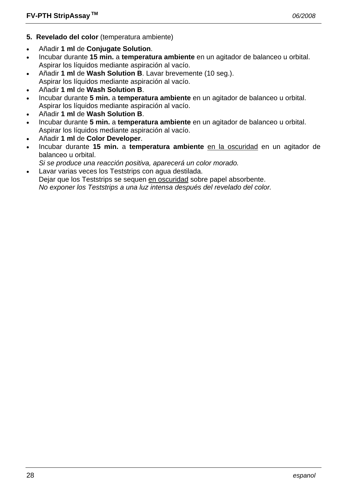- **5. Revelado del color** (temperatura ambiente)
- Añadir **1 ml** de **Conjugate Solution**.
- Incubar durante **15 min.** a **temperatura ambiente** en un agitador de balanceo u orbital. Aspirar los líquidos mediante aspiración al vacío.
- Añadir **1 ml** de **Wash Solution B**. Lavar brevemente (10 seg.).
- Aspirar los líquidos mediante aspiración al vacío.
- Añadir **1 ml** de **Wash Solution B**.
- Incubar durante **5 min.** a **temperatura ambiente** en un agitador de balanceo u orbital. Aspirar los líquidos mediante aspiración al vacío.
- Añadir **1 ml** de **Wash Solution B**.
- Incubar durante **5 min.** a **temperatura ambiente** en un agitador de balanceo u orbital. Aspirar los líquidos mediante aspiración al vacío.
- Añadir **1 ml** de **Color Developer**.
- Incubar durante **15 min.** a **temperatura ambiente** en la oscuridad en un agitador de balanceo u orbital.
- *Si se produce una reacción positiva, aparecerá un color morado.*
- Lavar varias veces los Teststrips con agua destilada. Dejar que los Teststrips se sequen en oscuridad sobre papel absorbente.  *No exponer los Teststrips a una luz intensa después del revelado del color.*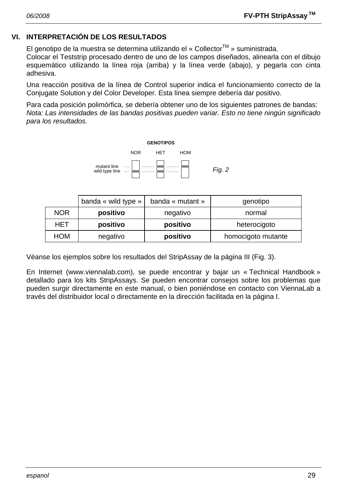## **VI. INTERPRETACIÓN DE LOS RESULTADOS**

El genotipo de la muestra se determina utilizando el « Collector<sup>™</sup> » suministrada.

Colocar el Teststrip procesado dentro de uno de los campos diseñados, alinearla con el dibujo esquemático utilizando la línea roja (arriba) y la línea verde (abajo), y pegarla con cinta adhesiva.

Una reacción positiva de la línea de Control superior indica el funcionamiento correcto de la Conjugate Solution y del Color Developer. Esta línea siempre debería dar positivo.

Para cada posición polimórfica, se debería obtener uno de los siguientes patrones de bandas: *Nota: Las intensidades de las bandas positivas pueden variar. Esto no tiene ningún significado para los resultados.* 



|            | banda « wild type » | banda « mutant » | genotipo           |
|------------|---------------------|------------------|--------------------|
| <b>NOR</b> | positivo            | negativo         | normal             |
| HET        | positivo            | positivo         | heterocigoto       |
| <b>HOM</b> | negativo            | positivo         | homocigoto mutante |

Véanse los ejemplos sobre los resultados del StripAssay de la página III (Fig. 3).

En Internet (www.viennalab.com), se puede encontrar y bajar un « Technical Handbook » detallado para los kits StripAssays. Se pueden encontrar consejos sobre los problemas que pueden surgir directamente en este manual, o bien poniéndose en contacto con ViennaLab a través del distribuidor local o directamente en la dirección facilitada en la página I.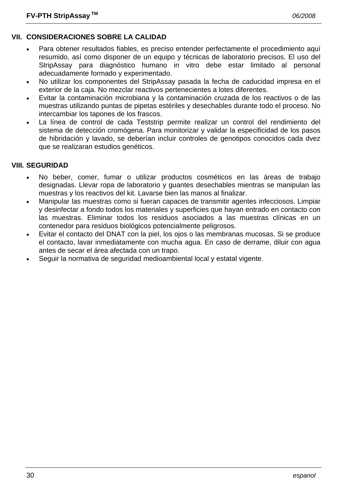# **VII. CONSIDERACIONES SOBRE LA CALIDAD**

- Para obtener resultados fiables, es preciso entender perfectamente el procedimiento aquí resumido, así como disponer de un equipo y técnicas de laboratorio precisos. El uso del StripAssay para diagnóstico humano in vitro debe estar limitado al personal adecuadamente formado y experimentado.
- No utilizar los componentes del StripAssay pasada la fecha de caducidad impresa en el exterior de la caja. No mezclar reactivos pertenecientes a lotes diferentes.
- Evitar la contaminación microbiana y la contaminación cruzada de los reactivos o de las muestras utilizando puntas de pipetas estériles y desechables durante todo el proceso. No intercambiar los tapones de los frascos.
- La línea de control de cada Teststrip permite realizar un control del rendimiento del sistema de detección cromógena. Para monitorizar y validar la especificidad de los pasos de hibridación y lavado, se deberían incluir controles de genotipos conocidos cada dvez que se realizaran estudios genéticos.

# **VIII. SEGURIDAD**

- No beber, comer, fumar o utilizar productos cosméticos en las áreas de trabajo designadas. Llevar ropa de laboratorio y guantes desechables mientras se manipulan las muestras y los reactivos del kit. Lavarse bien las manos al finalizar.
- Manipular las muestras como si fueran capaces de transmitir agentes infecciosos. Limpiar y desinfectar a fondo todos los materiales y superficies que hayan entrado en contacto con las muestras. Eliminar todos los residuos asociados a las muestras clínicas en un contenedor para residuos biológicos potencialmente peligrosos.
- Evitar el contacto del DNAT con la piel, los ojos o las membranas mucosas. Si se produce el contacto, lavar inmediatamente con mucha agua. En caso de derrame, diluir con agua antes de secar el área afectada con un trapo.
- Seguir la normativa de seguridad medioambiental local y estatal vigente.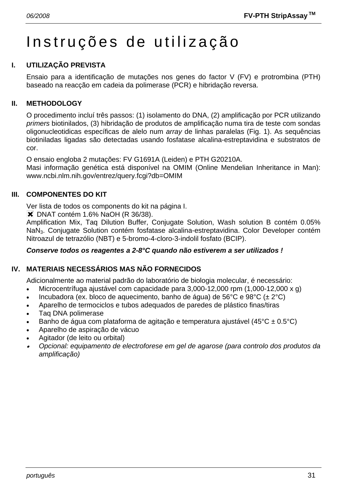# Instruções de utilização

# **I. UTILIZAÇÃO PREVISTA**

Ensaio para a identificação de mutações nos genes do factor V (FV) e protrombina (PTH) baseado na reacção em cadeia da polimerase (PCR) e hibridação reversa.

## **II. METHODOLOGY**

O procedimento incluí três passos: (1) isolamento do DNA, (2) amplificação por PCR utilizando *primers* biotinilados, (3) hibridação de produtos de amplificação numa tira de teste com sondas oligonucleotidicas específicas de alelo num *array* de linhas paralelas (Fig. 1). As sequências biotiniladas ligadas são detectadas usando fosfatase alcalina-estreptavidina e substratos de cor.

O ensaio engloba 2 mutações: FV G1691A (Leiden) e PTH G20210A.

Masi informação genética está disponível na OMIM (Online Mendelian Inheritance in Man): www.ncbi.nlm.nih.gov/entrez/query.fcgi?db=OMIM

#### **III. COMPONENTES DO KIT**

Ver lista de todos os components do kit na página I.

 $\blacktriangleright$  DNAT contém 1.6% NaOH (R 36/38).

Amplification Mix, Taq Dilution Buffer, Conjugate Solution, Wash solution B contém 0.05% NaN3. Conjugate Solution contém fosfatase alcalina-estreptavidina. Color Developer contém Nitroazul de tetrazólio (NBT) e 5-bromo-4-cloro-3-indolil fosfato (BCIP).

#### *Conserve todos os reagentes a 2-8°C quando não estiverem a ser utilizados !*

# **IV. MATERIAIS NECESSÁRIOS MAS NÃO FORNECIDOS**

Adicionalmente ao material padrão do laboratório de biologia molecular, é necessário:

- Microcentrífuga ajustável com capacidade para 3,000-12,000 rpm (1,000-12,000 x g)
- Incubadora (ex. bloco de aquecimento, banho de água) de 56°C e 98°C ( $\pm$  2°C)
- Aparelho de termociclos e tubos adequados de paredes de plástico finas/tiras
- Taq DNA polimerase
- Banho de água com plataforma de agitação e temperatura ajustável (45°C ± 0.5°C)
- Aparelho de aspiração de vácuo
- Agitador (de leito ou orbital)
- • *Opcional: equipamento de electroforese em gel de agarose (para controlo dos produtos da amplificação)*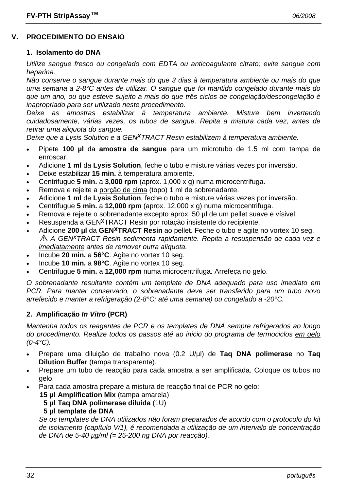# **V. PROCEDIMENTO DO ENSAIO**

#### **1. Isolamento do DNA**

*Utilize sangue fresco ou congelado com EDTA ou anticoagulante citrato; evite sangue com heparina.* 

*Não conserve o sangue durante mais do que 3 dias à temperatura ambiente ou mais do que uma semana a 2-8°C antes de utilizar. O sangue que foi mantido congelado durante mais do que um ano, ou que esteve sujeito a mais do que três ciclos de congelação/descongelação é inapropriado para ser utilizado neste procedimento.* 

*Deixe as amostras estabilizar à temperatura ambiente. Misture bem invertendo cuidadosamente, várias vezes, os tubos de sangue. Repita a mistura cada vez, antes de retirar uma aliquota do sangue.* 

*Deixe que a Lysis Solution e a GENxTRACT Resin estabilizem à temperatura ambiente.*

- Pipete **100 µl** da **amostra de sangue** para um microtubo de 1.5 ml com tampa de enroscar.
- Adicione **1 ml** da **Lysis Solution**, feche o tubo e misture várias vezes por inversão.
- Deixe estabilizar **15 min.** à temperatura ambiente.
- Centrifugue **5 min.** a **3,000 rpm** (aprox. 1,000 x g) numa microcentrifuga.
- Remova e rejeite a porção de cima (topo) 1 ml de sobrenadante.
- Adicione **1 ml** de **Lysis Solution**, feche o tubo e misture várias vezes por inversão.
- Centrifugue **5 min.** a **12,000 rpm** (aprox. 12,000 x g) numa microcentrifuga.
- Remova e rejeite o sobrenadante excepto aprox. 50 µl de um pellet suave e vísivel.
- Resuspenda a GEN<sup>X</sup>TRACT Resin por rotação insistente do recipiente.
- Adicione **200 µl** da **GENxTRACT Resin** ao pellet. Feche o tubo e agite no vortex 10 seg. *A GENxTRACT Resin sedimenta rapidamente. Repita a resuspensão de cada vez e imediatamente antes de remover outra aliquota.*
- Incube **20 min.** a **56°C**. Agite no vortex 10 seg.
- Incube **10 min.** a **98°C**. Agite no vortex 10 seg.
- Centrifugue **5 min.** a **12,000 rpm** numa microcentrifuga. Arrefeça no gelo.

*O sobrenadante resultante contém um template de DNA adequado para uso imediato em PCR. Para manter conservado, o sobrenadante deve ser transferido para um tubo novo arrefecido e manter a refrigeração (2-8°C; até uma semana) ou congelado a -20°C.* 

#### **2. Amplificação** *In Vitro* **(PCR)**

*Mantenha todos os reagentes de PCR e os templates de DNA sempre refrigerados ao longo do procedimento. Realize todos os passos até ao inicio do programa de termociclos em gelo (0-4°C).* 

- Prepare uma diluição de trabalho nova (0.2 U/µl) de **Taq DNA polimerase** no **Taq Dilution Buffer** (tampa transparente).
- Prepare um tubo de reacção para cada amostra a ser amplificada. Coloque os tubos no gelo.
	- Para cada amostra prepare a mistura de reacção final de PCR no gelo:
		- **15 µl Amplification Mix** (tampa amarela)
			- **5 µl Taq DNA polimerase diluida** (1U)

#### **5 µl template de DNA**

 *Se os templates de DNA utilizados não foram preparados de acordo com o protocolo do kit de isolamento (capítulo V/1), é recomendada a utilização de um intervalo de concentração de DNA de 5-40 µg/ml (= 25-200 ng DNA por reacção).*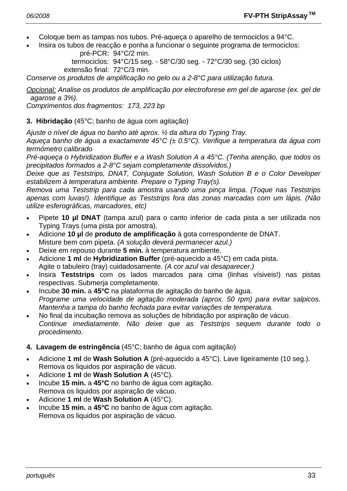- Coloque bem as tampas nos tubos. Pré-aqueça o aparelho de termociclos a 94°C.
- Insira os tubos de reacção e ponha a funcionar o seguinte programa de termociclos: pré-PCR: 94°C/2 min.

 termociclos: 94°C/15 seg. - 58°C/30 seg. - 72°C/30 seg. (30 ciclos) extensão final: 72°C/3 min.

*Conserve os produtos de amplificação no gelo ou a 2-8°C para utilização futura.* 

*Opcional: Analise os produtos de amplificação por electroforese em gel de agarose (ex. gel de agarose a 3%).* 

*Comprimentos dos fragmentos: 173, 223 bp* 

**3. Hibridação** (45°C; banho de água com agitação)

*Ajuste o nível de água no banho até aprox. ½ da altura do Typing Tray.* 

*Aqueça banho de água a exactamente 45°C (± 0.5°C). Verifique a temperatura da água com termómetro calibrado* 

*Pré-aqueça o Hybridization Buffer e a Wash Solution A a 45°C. (Tenha atenção, que todos os precipitados formados a 2-8°C sejam completamente dissolvidos.)* 

*Deixe que as Teststrips, DNAT, Conjugate Solution, Wash Solution B e o Color Developer estabilizem à temperatura ambiente. Prepare o Typing Tray(s).* 

*Remova uma Teststrip para cada amostra usando uma pinça limpa. (Toque nas Teststrips apenas com luvas!). Identifique as Teststrips fora das zonas marcadas com um lápis. (Não utilize esferográficas, marcadores, etc)* 

- Pipete **10 µl DNAT** (tampa azul) para o canto inferior de cada pista a ser utilizada nos Typing Trays (uma pista por amostra).
- Adicione **10 µl** de **produto de amplificação** à gota correspondente de DNAT. Misture bem com pipeta. *(A solução deverá permanecer azul.)*
- Deixe em repouso durante **5 min.** à temperatura ambiente.
- Adicione **1 ml** de **Hybridization Buffer** (pré-aquecido a 45°C) em cada pista. Agite o tabuleiro (tray) cuidadosamente. *(A cor azul vai desaparecer.)*
- Insira **Teststrips** com os lados marcados para cima (linhas vísiveis!) nas pistas respectivas. Submerja completamente.
- Incube **30 min.** a **45°C** na plataforma de agitação do banho de água.  *Programe uma velocidade de agitação moderada (aprox. 50 rpm) para evitar salpicos. Mantenha a tampa do banho fechada para evitar variações de temperatura.*
- No final da incubação remova as soluções de hibridação por aspiração de vácuo.  *Continue imediatamente. Não deixe que as Teststrips sequem durante todo o procedimento.*
- **4. Lavagem de estringência** (45°C; banho de água com agitação)
- Adicione **1 ml** de **Wash Solution A** (pré-aquecido a 45°C). Lave ligeiramente (10 seg.). Remova os liquidos por aspiração de vácuo.
- Adicione **1 ml** de **Wash Solution A** (45°C).
- Incube **15 min.** a **45°C** no banho de água com agitação. Remova os liquidos por aspiração de vácuo.
- Adicione **1 ml** de **Wash Solution A** (45°C).
- Incube **15 min.** a **45°C** no banho de água com agitação. Remova os liquidos por aspiração de vácuo.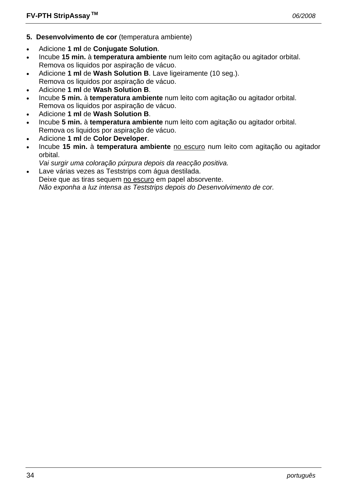- **5. Desenvolvimento de cor** (temperatura ambiente)
- Adicione **1 ml** de **Conjugate Solution**.
- Incube **15 min.** à **temperatura ambiente** num leito com agitação ou agitador orbital. Remova os liquidos por aspiração de vácuo.
- Adicione **1 ml** de **Wash Solution B**. Lave ligeiramente (10 seg.). Remova os liquidos por aspiração de vácuo.
- Adicione **1 ml** de **Wash Solution B**.
- Incube **5 min.** à **temperatura ambiente** num leito com agitação ou agitador orbital. Remova os liquidos por aspiração de vácuo.
- Adicione **1 ml** de **Wash Solution B**.
- Incube **5 min.** à **temperatura ambiente** num leito com agitação ou agitador orbital. Remova os liquidos por aspiração de vácuo.
- Adicione **1 ml** de **Color Developer**.
- Incube **15 min.** à **temperatura ambiente** no escuro num leito com agitação ou agitador orbital.
- *Vai surgir uma coloração púrpura depois da reacção positiva.*
- Lave várias vezes as Teststrips com água destilada. Deixe que as tiras sequem no escuro em papel absorvente.  *Não exponha a luz intensa as Teststrips depois do Desenvolvimento de cor.*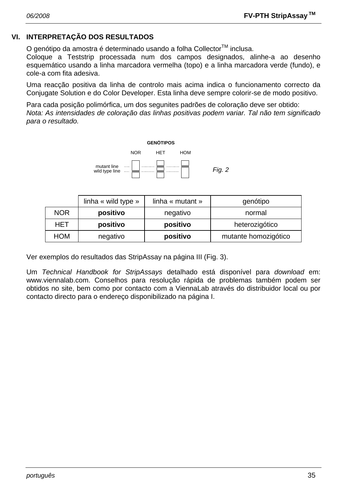## **VI. INTERPRETAÇÃO DOS RESULTADOS**

O genótipo da amostra é determinado usando a folha Collector™ inclusa.

Coloque a Teststrip processada num dos campos designados, alinhe-a ao desenho esquemático usando a linha marcadora vermelha (topo) e a linha marcadora verde (fundo), e cole-a com fita adesiva.

Uma reacção positiva da linha de controlo mais acima indica o funcionamento correcto da Conjugate Solution e do Color Developer. Esta linha deve sempre colorir-se de modo positivo.

Para cada posição polimórfica, um dos segunites padrões de coloração deve ser obtido: *Nota: As intensidades de coloração das linhas positivas podem variar. Tal não tem significado para o resultado.* 



|            | linha « wild type » | linha « mutant » | genótipo             |  |
|------------|---------------------|------------------|----------------------|--|
| <b>NOR</b> | positivo            | negativo         | normal               |  |
| HET        | positivo            | positivo         | heterozigótico       |  |
| <b>HOM</b> | negativo            | positivo         | mutante homozigótico |  |

Ver exemplos do resultados das StripAssay na página III (Fig. 3).

Um *Technical Handbook for StripAssays* detalhado está disponível para *download* em: www.viennalab.com. Conselhos para resolução rápida de problemas também podem ser obtidos no site, bem como por contacto com a ViennaLab através do distribuidor local ou por contacto directo para o endereço disponibilizado na página I.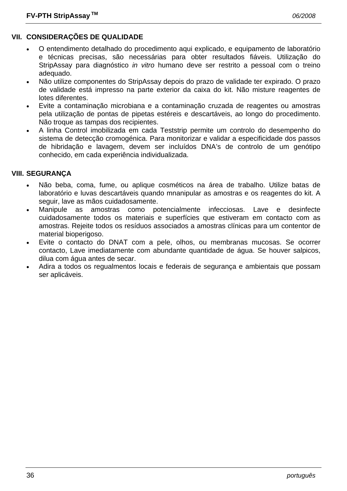# **VII. CONSIDERAÇÕES DE QUALIDADE**

- O entendimento detalhado do procedimento aqui explicado, e equipamento de laboratório e técnicas precisas, são necessárias para obter resultados fiáveis. Utilização do StripAssay para diagnóstico *in vitro* humano deve ser restrito a pessoal com o treino adequado.
- Não utilize componentes do StripAssay depois do prazo de validade ter expirado. O prazo de validade está impresso na parte exterior da caixa do kit. Não misture reagentes de lotes diferentes.
- Evite a contaminação microbiana e a contaminação cruzada de reagentes ou amostras pela utilização de pontas de pipetas estéreis e descartáveis, ao longo do procedimento. Não troque as tampas dos recipientes.
- A linha Control imobilizada em cada Teststrip permite um controlo do desempenho do sistema de detecção cromogénica. Para monitorizar e validar a especificidade dos passos de hibridação e lavagem, devem ser incluídos DNA's de controlo de um genótipo conhecido, em cada experiência individualizada.

#### **VIII. SEGURANÇA**

- Não beba, coma, fume, ou aplique cosméticos na área de trabalho. Utilize batas de laboratório e luvas descartáveis quando mnanipular as amostras e os reagentes do kit. A seguir, lave as mãos cuidadosamente.
- Manipule as amostras como potencialmente infecciosas. Lave e desinfecte cuidadosamente todos os materiais e superfícies que estiveram em contacto com as amostras. Rejeite todos os resíduos associados a amostras clínicas para um contentor de material bioperigoso.
- Evite o contacto do DNAT com a pele, olhos, ou membranas mucosas. Se ocorrer contacto, Lave imediatamente com abundante quantidade de água. Se houver salpicos, dilua com água antes de secar.
- Adira a todos os regualmentos locais e federais de segurança e ambientais que possam ser aplicáveis.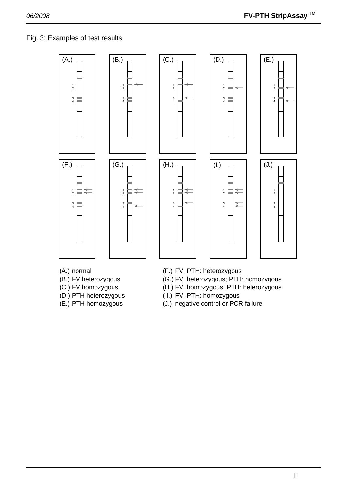# Fig. 3: Examples of test results





2

4

2

⋧

4













- 
- 
- 
- 
- 
- (A.) normal (F.) FV, PTH: heterozygous
- (B.) FV heterozygous (G.) FV: heterozygous; PTH: homozygous
- (C.) FV homozygous (H.) FV: homozygous; PTH: heterozygous
- (D.) PTH heterozygous ( I.) FV, PTH: homozygous
- (E.) PTH homozygous (J.) negative control or PCR failure